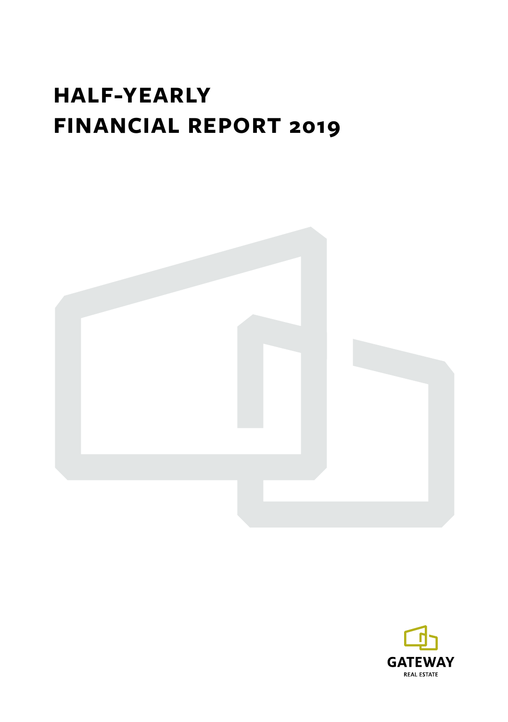# **HALF-YEARLY FINANCIAL REPORT 2019**



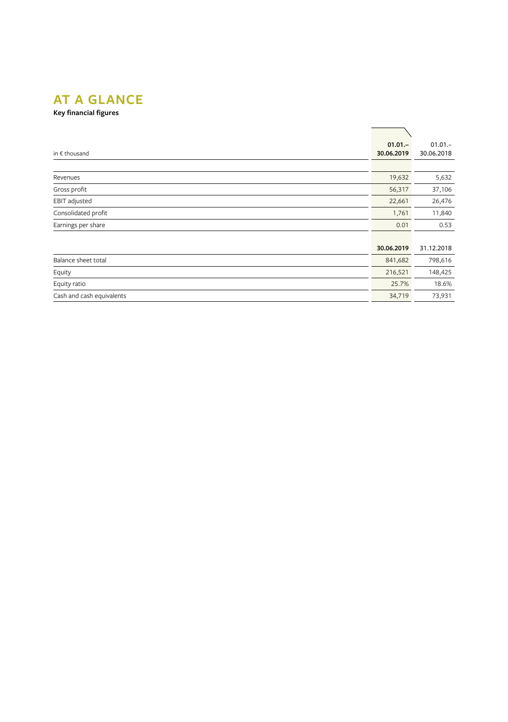## **AT A GLANCE**

**Key financial figures**

| in $\epsilon$ thousand    | $01.01 -$<br>30.06.2019 | $01.01 -$<br>30.06.2018 |
|---------------------------|-------------------------|-------------------------|
|                           |                         |                         |
| Revenues                  | 19,632                  | 5,632                   |
| Gross profit              | 56,317                  | 37,106                  |
| EBIT adjusted             | 22,661                  | 26,476                  |
| Consolidated profit       | 1,761                   | 11,840                  |
| Earnings per share        | 0.01                    | 0.53                    |
|                           |                         |                         |
|                           | 30.06.2019              | 31.12.2018              |
| Balance sheet total       | 841,682                 | 798,616                 |
| Equity                    | 216,521                 | 148,425                 |
| Equity ratio              | 25.7%                   | 18.6%                   |
| Cash and cash equivalents | 34,719                  | 73,931                  |
|                           |                         |                         |

L.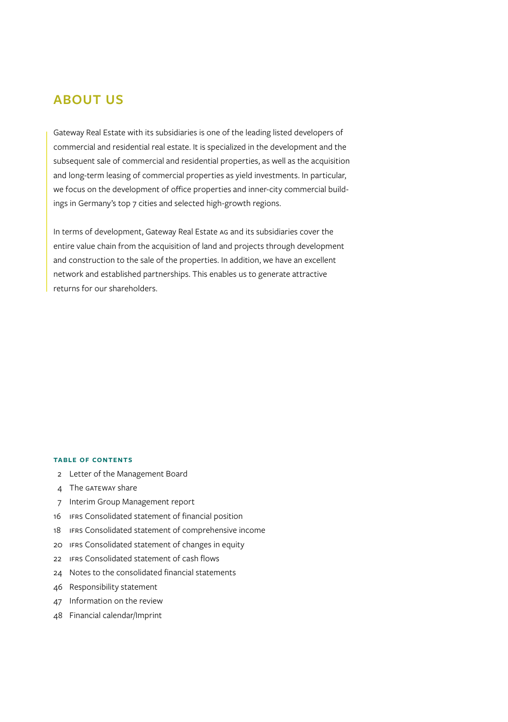## **ABOUT US**

Gateway Real Estate with its subsidiaries is one of the leading listed developers of commercial and residential real estate. It is specialized in the development and the subsequent sale of commercial and residential properties, as well as the acquisition and long-term leasing of commercial properties as yield investments. In particular, we focus on the development of office properties and inner-city commercial buildings in Germany's top 7 cities and selected high-growth regions.

In terms of development, Gateway Real Estate AG and its subsidiaries cover the entire value chain from the acquisition of land and projects through development and construction to the sale of the properties. In addition, we have an excellent network and established partnerships. This enables us to generate attractive returns for our shareholders.

#### **Table of contents**

- 2 Letter of the Management Board
- 4 The GATEWAY share
- 7 Interim Group Management report
- 16 IFRS Consolidated statement of financial position
- 18 IFRS Consolidated statement of comprehensive income
- 20 IFRS Consolidated statement of changes in equity
- 22 IFRS Consolidated statement of cash flows
- 24 Notes to the consolidated financial statements
- 46 Responsibility statement
- 47 Information on the review
- 48 Financial calendar/Imprint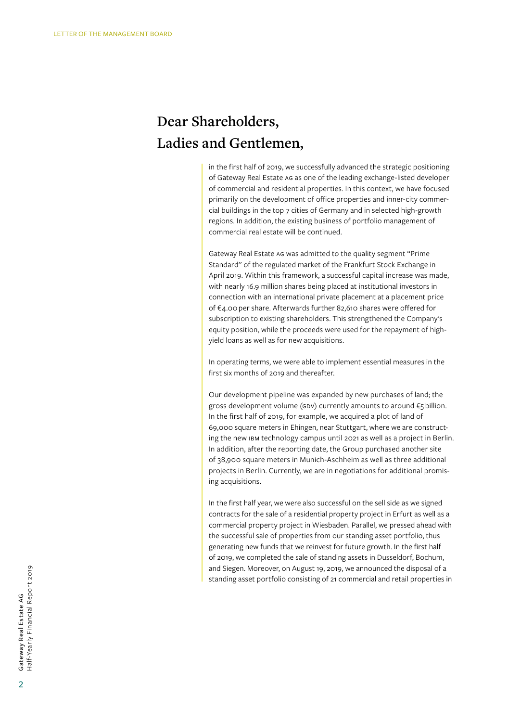## **Dear Shareholders, Ladies and Gentlemen,**

in the first half of 2019, we successfully advanced the strategic positioning of Gateway Real Estate AG as one of the leading exchange-listed developer of commercial and residential properties. In this context, we have focused primarily on the development of office properties and inner-city commercial buildings in the top 7 cities of Germany and in selected high-growth regions. In addition, the existing business of portfolio management of commercial real estate will be continued.

Gateway Real Estate AG was admitted to the quality segment "Prime Standard" of the regulated market of the Frankfurt Stock Exchange in April 2019. Within this framework, a successful capital increase was made, with nearly 16.9 million shares being placed at institutional investors in connection with an international private placement at a placement price of €4.00 per share. Afterwards further 82,610 shares were offered for subscription to existing shareholders. This strengthened the Company's equity position, while the proceeds were used for the repayment of highyield loans as well as for new acquisitions.

In operating terms, we were able to implement essential measures in the first six months of 2019 and thereafter.

Our development pipeline was expanded by new purchases of land; the gross development volume (GDV) currently amounts to around €5 billion. In the first half of 2019, for example, we acquired a plot of land of 69,000  square meters in Ehingen, near Stuttgart, where we are constructing the new IBM technology campus until 2021 as well as a project in Berlin. In addition, after the reporting date, the Group purchased another site of 38,900 square meters in Munich-Aschheim as well as three additional projects in Berlin. Currently, we are in negotiations for additional promising acquisitions.

In the first half year, we were also successful on the sell side as we signed contracts for the sale of a residential property project in Erfurt as well as a commercial property project in Wiesbaden. Parallel, we pressed ahead with the successful sale of properties from our standing asset portfolio, thus generating new funds that we reinvest for future growth. In the first half of 2019, we completed the sale of standing assets in Dusseldorf, Bochum, and Siegen. Moreover, on August 19, 2019, we announced the disposal of a standing asset portfolio consisting of 21 commercial and retail properties in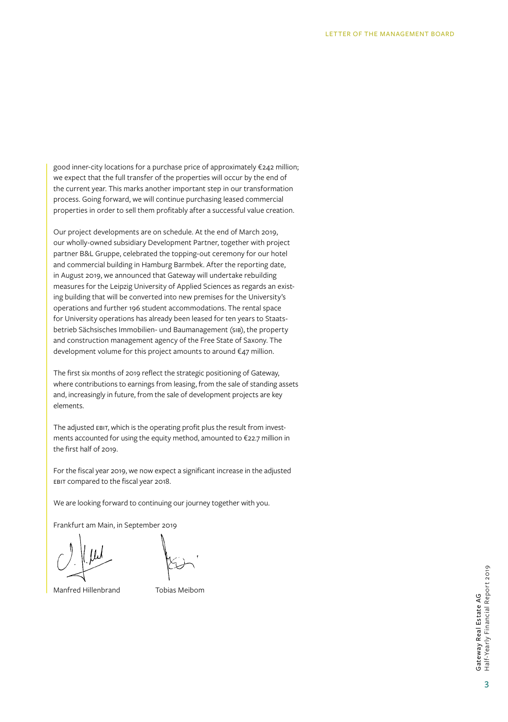good inner-city locations for a purchase price of approximately €242 million; we expect that the full transfer of the properties will occur by the end of the current year. This marks another important step in our transformation process. Going forward, we will continue purchasing leased commercial properties in order to sell them profitably after a successful value creation.

Our project developments are on schedule. At the end of March 2019, our wholly-owned subsidiary Development Partner, together with project partner B&L Gruppe, celebrated the topping-out ceremony for our hotel and commercial building in Hamburg Barmbek. After the reporting date, in August 2019, we announced that Gateway will undertake rebuilding measures for the Leipzig University of Applied Sciences as regards an existing building that will be converted into new premises for the University's operations and further 196 student accommodations. The rental space for University operations has already been leased for ten years to Staatsbetrieb Sächsisches Immobilien- und Baumanagement (SIB), the property and construction management agency of the Free State of Saxony. The development volume for this project amounts to around €47 million.

The first six months of 2019 reflect the strategic positioning of Gateway, where contributions to earnings from leasing, from the sale of standing assets and, increasingly in future, from the sale of development projects are key elements.

The adjusted EBIT, which is the operating profit plus the result from investments accounted for using the equity method, amounted to €22.7 million in the first half of 2019.

For the fiscal year 2019, we now expect a significant increase in the adjusted EBIT compared to the fiscal year 2018.

We are looking forward to continuing our journey together with you.

Frankfurt am Main, in September 2019

Manfred Hillenbrand Tobias Meibom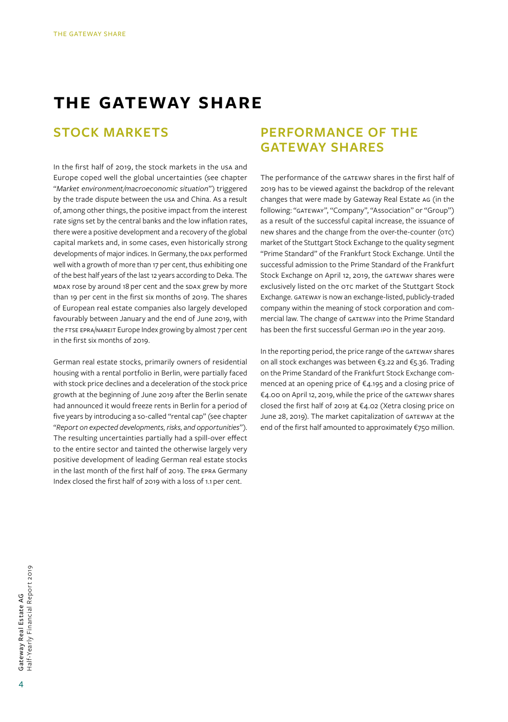## **THE GATEWAY SHARE**

## **STOCK MARKETS**

In the first half of 2019, the stock markets in the USA and Europe coped well the global uncertainties (see chapter "*Market environment/macroeconomic situation*") triggered by the trade dispute between the USA and China. As a result of, among other things, the positive impact from the interest rate signs set by the central banks and the low inflation rates, there were a positive development and a recovery of the global capital markets and, in some cases, even historically strong developments of major indices. In Germany, the DAX performed well with a growth of more than 17 per cent, thus exhibiting one of the best half years of the last 12 years according to Deka. The MDAX rose by around 18 per cent and the SDAX grew by more than 19 per cent in the first six months of 2019. The shares of European real estate companies also largely developed favourably between January and the end of June 2019, with the FTSE EPRA/NAREIT Europe Index growing by almost 7 per  cent in the first six months of 2019.

German real estate stocks, primarily owners of residential housing with a rental portfolio in Berlin, were partially faced with stock price declines and a deceleration of the stock price growth at the beginning of June 2019 after the Berlin senate had announced it would freeze rents in Berlin for a period of five years by introducing a so-called "rental cap" (see chapter "*Report on expected developments, risks, and opportunities*"). The resulting uncertainties partially had a spill-over effect to the entire sector and tainted the otherwise largely very positive development of leading German real estate stocks in the last month of the first half of 2019. The EPRA Germany Index closed the first half of 2019 with a loss of 1.1 per cent.

## **PERFORMANCE OF THE GATEWAY SHARES**

The performance of the GATEWAY shares in the first half of 2019 has to be viewed against the backdrop of the relevant changes that were made by Gateway Real Estate AG (in the following: "gateway", "Company", "Association" or "Group") as a result of the successful capital increase, the issuance of new shares and the change from the over-the-counter (OTC) market of the Stuttgart Stock Exchange to the quality segment "Prime Standard" of the Frankfurt Stock Exchange. Until the successful admission to the Prime Standard of the Frankfurt Stock Exchange on April 12, 2019, the GATEWAY shares were exclusively listed on the OTC market of the Stuttgart Stock Exchange. Gateway is now an exchange-listed, publicly-traded company within the meaning of stock corporation and commercial law. The change of Gateway into the Prime Standard has been the first successful German IPO in the year 2019.

In the reporting period, the price range of the Gateway shares on all stock exchanges was between €3.22 and €5.36. Trading on the Prime Standard of the Frankfurt Stock Exchange commenced at an opening price of €4.195 and a closing price of €4.00 on April 12, 2019, while the price of the Gateway shares closed the first half of 2019 at €4.02 (Xetra closing price on June 28, 2019). The market capitalization of Gateway at the end of the first half amounted to approximately €750 million.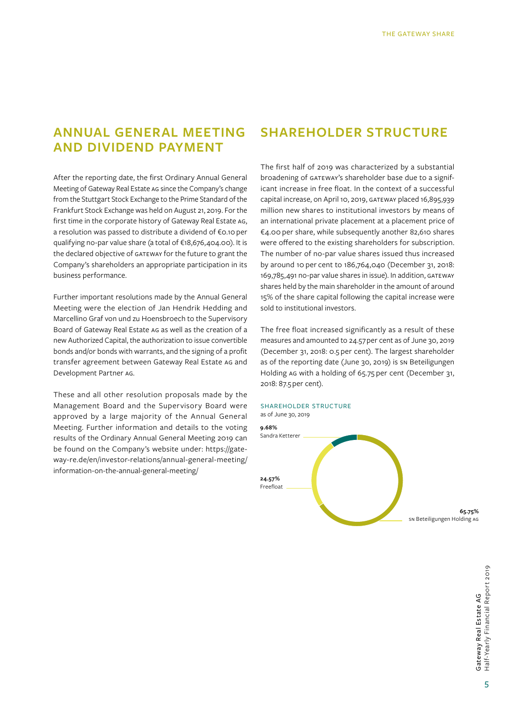## **ANNUAL GENERAL MEETING AND DIVIDEND PAYMENT**

After the reporting date, the first Ordinary Annual General Meeting of Gateway Real Estate AG since the Company's change from the Stuttgart Stock Exchange to the Prime Standard of the Frankfurt Stock Exchange was held on August 21,  2019. For the first time in the corporate history of Gateway Real Estate  AG, a resolution was passed to distribute a dividend of €0.10 per qualifying no-par value share (a total of €18,676,404.00). It is the declared objective of Gateway for the future to grant the Company's shareholders an appropriate participation in its business performance.

Further important resolutions made by the Annual General Meeting were the election of Jan Hendrik Hedding and Marcellino Graf von und zu Hoensbroech to the Supervisory Board of Gateway Real Estate AG as well as the creation of a new Authorized Capital, the authorization to issue convertible bonds and/or bonds with warrants, and the signing of a profit transfer agreement between Gateway Real Estate AG and Development Partner AG.

These and all other resolution proposals made by the Management Board and the Supervisory Board were approved by a large majority of the Annual General Meeting. Further information and details to the voting results of the Ordinary Annual General Meeting 2019 can be found on the Company's website under: https://gateway-re.de/en/investor-relations/annual-general-meeting/ information-on-the-annual-general-meeting/

## **SHAREHOLDER STRUCTURE**

The first half of 2019 was characterized by a substantial broadening of Gateway's shareholder base due to a significant increase in free float. In the context of a successful capital increase, on April 10, 2019, Gateway placed 16,895,939 million new shares to institutional investors by means of an international private placement at a placement price of €4.00 per share, while subsequently another 82,610 shares were offered to the existing shareholders for subscription. The number of no-par value shares issued thus increased by around 10 per cent to 186,764,040 (December 31, 2018: 169,785,491 no-par value shares in issue). In addition, Gateway shares held by the main shareholder in the amount of around 15% of the share capital following the capital increase were sold to institutional investors.

The free float increased significantly as a result of these measures and amounted to 24.57 per cent as of June 30, 2019 (December 31, 2018: 0.5 per cent). The largest shareholder as of the reporting date (June 30, 2019) is SN Beteiligungen Holding AG with a holding of 65.75 per cent (December 31, 2018: 87.5 per cent).

#### Shareholder structure

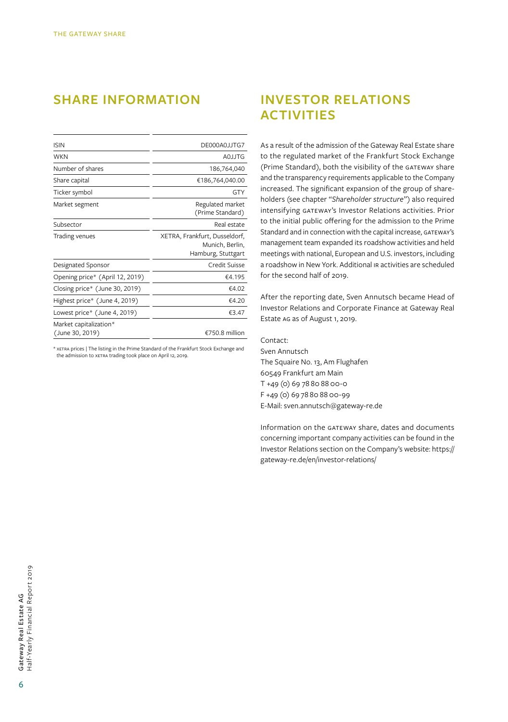## **SHARE INFORMATION**

| <b>ISIN</b>                               | DE000A0.LITG7                                                          |
|-------------------------------------------|------------------------------------------------------------------------|
| <b>WKN</b>                                | AO.UTG                                                                 |
| Number of shares                          | 186,764,040                                                            |
| Share capital                             | €186,764,040.00                                                        |
| Ticker symbol                             | GTY                                                                    |
| Market segment                            | Regulated market<br>(Prime Standard)                                   |
| Subsector                                 | Real estate                                                            |
| Trading venues                            | XETRA, Frankfurt, Dusseldorf,<br>Munich, Berlin,<br>Hamburg, Stuttgart |
| Designated Sponsor                        | Credit Suisse                                                          |
| Opening price* (April 12, 2019)           | €4.195                                                                 |
| Closing price* (June 30, 2019)            | €4.02                                                                  |
| Highest price* (June 4, 2019)             | €4.20                                                                  |
| Lowest price* (June 4, 2019)              | €3.47                                                                  |
| Market capitalization*<br>(June 30, 2019) | €750.8 million                                                         |

\* XETRA prices | The listing in the Prime Standard of the Frankfurt Stock Exchange and the admission to XETRA trading took place on April 12, 2019.

## **INVESTOR RELATIONS ACTIVITIES**

As a result of the admission of the Gateway Real Estate share to the regulated market of the Frankfurt Stock Exchange (Prime Standard), both the visibility of the Gateway share and the transparency requirements applicable to the Company increased. The significant expansion of the group of shareholders (see chapter "*Shareholder structure*") also required intensifying Gateway's Investor Relations activities. Prior to the initial public offering for the admission to the Prime Standard and in connection with the capital increase, Gateway's management team expanded its roadshow activities and held meetings with national, European and U.S. investors, including a roadshow in New York. Additional IR activities are scheduled for the second half of 2019.

After the reporting date, Sven Annutsch became Head of Investor Relations and Corporate Finance at Gateway Real Estate AG as of August 1, 2019.

Contact: Sven Annutsch The Squaire No. 13, Am Flughafen 60549 Frankfurt am Main T +49 (0) 69 78 80 88 00-0 F +49 (0) 69 78 80 88 00-99 E-Mail: sven.annutsch@gateway-re.de

Information on the Gateway share, dates and documents concerning important company activities can be found in the Investor Relations section on the Company's website: https:// gateway-re.de/en/investor-relations/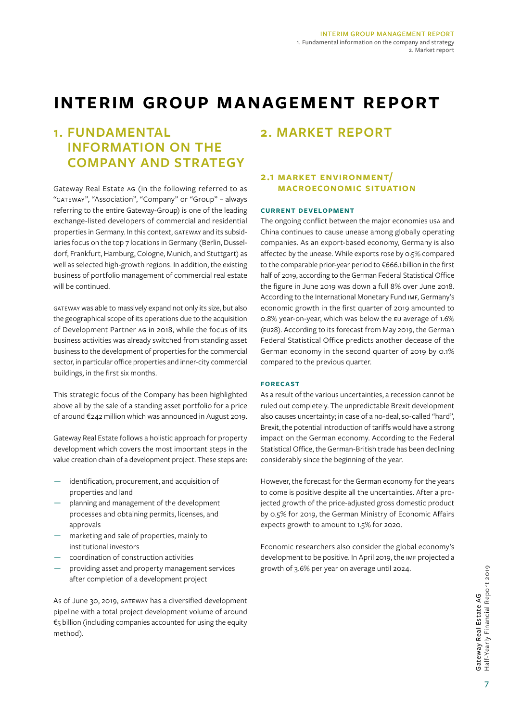## **INTERIM GROUP MANAGEMENT REPORT**

## **1. FUNDAMENTAL INFORMATION ON THE COMPANY AND STRATEGY**

Gateway Real Estate AG (in the following referred to as "GATEWAY", "Association", "Company" or "Group" – always referring to the entire Gateway-Group) is one of the leading exchange-listed developers of commercial and residential properties in Germany. In this context, GATEWAY and its subsidiaries focus on the top 7 locations in Germany (Berlin, Dusseldorf, Frankfurt, Hamburg, Cologne, Munich, and Stuttgart) as well as selected high-growth regions. In addition, the existing business of portfolio management of commercial real estate will be continued.

Gateway was able to massively expand not only its size, but also the geographical scope of its operations due to the acquisition of Development Partner AG in 2018, while the focus of its business activities was already switched from standing asset business to the development of properties for the commercial sector, in particular office properties and inner-city commercial buildings, in the first six months.

This strategic focus of the Company has been highlighted above all by the sale of a standing asset portfolio for a price of around €242 million which was announced in August 2019.

Gateway Real Estate follows a holistic approach for property development which covers the most important steps in the value creation chain of a development project. These steps are:

- identification, procurement, and acquisition of properties and land
- planning and management of the development processes and obtaining permits, licenses, and approvals
- marketing and sale of properties, mainly to institutional investors
- coordination of construction activities
- providing asset and property management services after completion of a development project

As of June 30, 2019, Gateway has a diversified development pipeline with a total project development volume of around €5 billion (including companies accounted for using the equity method).

### **2. MARKET REPORT**

#### **2.1 Market environment/ macroeconomic situation**

#### **Current development**

The ongoing conflict between the major economies usa and China continues to cause unease among globally operating companies. As an export-based economy, Germany is also affected by the unease. While exports rose by 0.5% compared to the comparable prior-year period to €666.1 billion in the first half of 2019, according to the German Federal Statistical Office the figure in June 2019 was down a full 8% over June 2018. According to the International Monetary Fund IMF, Germany's economic growth in the first quarter of 2019 amounted to 0.8% year-on-year, which was below the EU average of 1.6% (EU28). According to its forecast from May 2019, the German Federal Statistical Office predicts another decease of the German economy in the second quarter of 2019 by 0.1% compared to the previous quarter.

#### **Forecast**

As a result of the various uncertainties, a recession cannot be ruled out completely. The unpredictable Brexit development also causes uncertainty; in case of a no-deal, so-called "hard", Brexit, the potential introduction of tariffs would have a strong impact on the German economy. According to the Federal Statistical Office, the German-British trade has been declining considerably since the beginning of the year.

However, the forecast for the German economy for the years to come is positive despite all the uncertainties. After a projected growth of the price-adjusted gross domestic product by 0.5% for 2019, the German Ministry of Economic Affairs expects growth to amount to 1.5% for 2020.

Economic researchers also consider the global economy's development to be positive. In April 2019, the IMF projected a growth of 3.6% per year on average until 2024.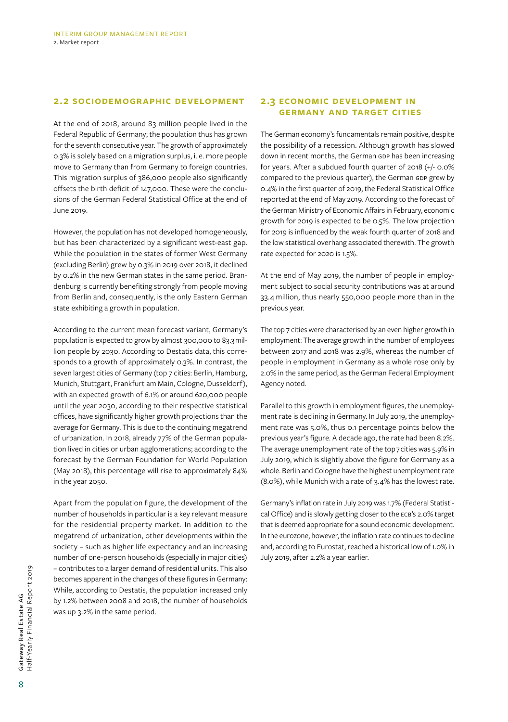#### **2.2 Sociodemographic development**

At the end of 2018, around 83 million people lived in the Federal Republic of Germany; the population thus has grown for the seventh consecutive year. The growth of approximately 0.3% is solely based on a migration surplus, i. e. more people move to Germany than from Germany to foreign countries. This migration surplus of 386,000 people also significantly offsets the birth deficit of 147,000. These were the conclusions of the German Federal Statistical Office at the end of June 2019.

However, the population has not developed homogeneously, but has been characterized by a significant west-east gap. While the population in the states of former West Germany (excluding Berlin) grew by 0.3% in 2019 over 2018, it declined by 0.2% in the new German states in the same period. Brandenburg is currently benefiting strongly from people moving from Berlin and, consequently, is the only Eastern German state exhibiting a growth in population.

According to the current mean forecast variant, Germany's population is expected to grow by almost 300,000 to 83.3 million people by 2030. According to Destatis data, this corresponds to a growth of approximately 0.3%. In contrast, the seven largest cities of Germany (top 7 cities: Berlin, Hamburg, Munich, Stuttgart, Frankfurt am Main, Cologne, Dusseldorf), with an expected growth of 6.1% or around 620,000 people until the year 2030, according to their respective statistical offices, have significantly higher growth projections than the average for Germany. This is due to the continuing megatrend of urbanization. In 2018, already 77% of the German population lived in cities or urban agglomerations; according to the forecast by the German Foundation for World Population (May 2018), this percentage will rise to approximately 84% in the year 2050.

Apart from the population figure, the development of the number of households in particular is a key relevant measure for the residential property market. In addition to the megatrend of urbanization, other developments within the society – such as higher life expectancy and an increasing number of one-person households (especially in major cities) – contributes to a larger demand of residential units. This also becomes apparent in the changes of these figures in Germany: While, according to Destatis, the population increased only by 1.2% between 2008 and 2018, the number of households was up 3.2% in the same period.

#### **2.3 Economic development in Germany and target cities**

The German economy's fundamentals remain positive, despite the possibility of a recession. Although growth has slowed down in recent months, the German GDP has been increasing for years. After a subdued fourth quarter of 2018 (+/- 0.0% compared to the previous quarter), the German GDP grew by 0.4% in the first quarter of 2019, the Federal Statistical Office reported at the end of May 2019. According to the forecast of the German Ministry of Economic Affairs in February, economic growth for 2019 is expected to be 0.5%. The low projection for 2019 is influenced by the weak fourth quarter of 2018 and the low statistical overhang associated therewith. The growth rate expected for 2020 is 1.5%.

At the end of May 2019, the number of people in employment subject to social security contributions was at around 33.4 million, thus nearly 550,000 people more than in the previous year.

The top 7 cities were characterised by an even higher growth in employment: The average growth in the number of employees between 2017 and 2018 was 2.9%, whereas the number of people in employment in Germany as a whole rose only by 2.0% in the same period, as the German Federal Employment Agency noted.

Parallel to this growth in employment figures, the unemployment rate is declining in Germany. In July 2019, the unemployment rate was 5.0%, thus 0.1 percentage points below the previous year's figure. A decade ago, the rate had been 8.2%. The average unemployment rate of the top 7 cities was 5.9% in July 2019, which is slightly above the figure for Germany as a whole. Berlin and Cologne have the highest unemployment rate (8.0%), while Munich with a rate of 3.4% has the lowest rate.

Germany's inflation rate in July 2019 was 1.7% (Federal Statistical Office) and is slowly getting closer to the ECB's 2.0% target that is deemed appropriate for a sound economic development. In the eurozone, however, the inflation rate continues to decline and, according to Eurostat, reached a historical low of 1.0% in July 2019, after 2.2% a year earlier.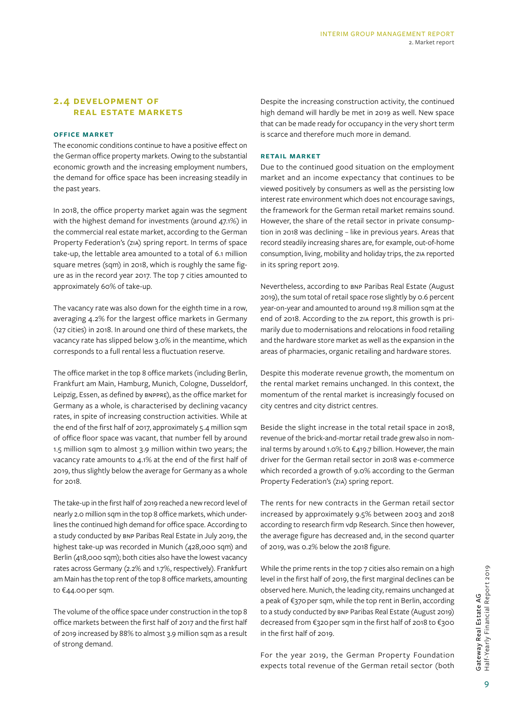#### **2.4 Development of real estate markets**

#### **Office market**

The economic conditions continue to have a positive effect on the German office property markets. Owing to the substantial economic growth and the increasing employment numbers, the demand for office space has been increasing steadily in the past years.

In 2018, the office property market again was the segment with the highest demand for investments (around 47.1%) in the commercial real estate market, according to the German Property Federation's (ZIA) spring report. In terms of space take-up, the lettable area amounted to a total of 6.1 million square metres (sqm) in 2018, which is roughly the same figure as in the record year 2017. The top 7 cities amounted to approximately 60% of take-up.

The vacancy rate was also down for the eighth time in a row, averaging 4.2% for the largest office markets in Germany (127 cities) in 2018. In around one third of these markets, the vacancy rate has slipped below 3.0% in the meantime, which corresponds to a full rental less a fluctuation reserve.

The office market in the top 8 office markets (including Berlin, Frankfurt am Main, Hamburg, Munich, Cologne, Dusseldorf, Leipzig, Essen, as defined by BNPPRE), as the office market for Germany as a whole, is characterised by declining vacancy rates, in spite of increasing construction activities. While at the end of the first half of 2017, approximately 5.4 million sqm of office floor space was vacant, that number fell by around 1.5  million sqm to almost 3.9 million within two years; the vacancy rate amounts to 4.1% at the end of the first half of 2019, thus slightly below the average for Germany as a whole for 2018.

The take-up in the first half of 2019 reached a new record level of nearly 2.0 million sqm in the top 8 office markets, which underlines the continued high demand for office space. According to a study conducted by BNP Paribas Real Estate in July 2019, the highest take-up was recorded in Munich (428,000 sqm) and Berlin (418,000 sqm); both cities also have the lowest vacancy rates across Germany (2.2% and 1.7%, respectively). Frankfurt am Main has the top rent of the top 8 office markets, amounting to €44.00 per sqm.

The volume of the office space under construction in the top 8 office markets between the first half of 2017 and the first half of 2019 increased by 88% to almost 3.9 million sqm as a result of strong demand.

Despite the increasing construction activity, the continued high demand will hardly be met in 2019 as well. New space that can be made ready for occupancy in the very short term is scarce and therefore much more in demand.

#### **Retail market**

Due to the continued good situation on the employment market and an income expectancy that continues to be viewed positively by consumers as well as the persisting low interest rate environment which does not encourage savings, the framework for the German retail market remains sound. However, the share of the retail sector in private consumption in 2018 was declining – like in previous years. Areas that record steadily increasing shares are, for example, out-of-home consumption, living, mobility and holiday trips, the zia reported in its spring report 2019.

Nevertheless, according to BNP Paribas Real Estate (August 2019), the sum total of retail space rose slightly by 0.6 percent year-on-year and amounted to around 119.8 million sqm at the end of 2018. According to the ZIA report, this growth is primarily due to modernisations and relocations in food retailing and the hardware store market as well as the expansion in the areas of pharmacies, organic retailing and hardware stores.

Despite this moderate revenue growth, the momentum on the rental market remains unchanged. In this context, the momentum of the rental market is increasingly focused on city centres and city district centres.

Beside the slight increase in the total retail space in 2018, revenue of the brick-and-mortar retail trade grew also in nominal terms by around 1.0% to €419.7 billion. However, the main driver for the German retail sector in 2018 was e-commerce which recorded a growth of 9.0% according to the German Property Federation's (ZIA) spring report.

The rents for new contracts in the German retail sector increased by approximately 9.5% between 2003 and 2018 according to research firm vdp Research. Since then however, the average figure has decreased and, in the second quarter of 2019, was 0.2% below the 2018 figure.

While the prime rents in the top 7 cities also remain on a high level in the first half of 2019, the first marginal declines can be observed here. Munich, the leading city, remains unchanged at a peak of €370 per sqm, while the top rent in Berlin, according to a study conducted by BNP Paribas Real Estate (August 2019) decreased from €320 per sqm in the first half of 2018 to €300 in the first half of 2019.

For the year 2019, the German Property Foundation expects total revenue of the German retail sector (both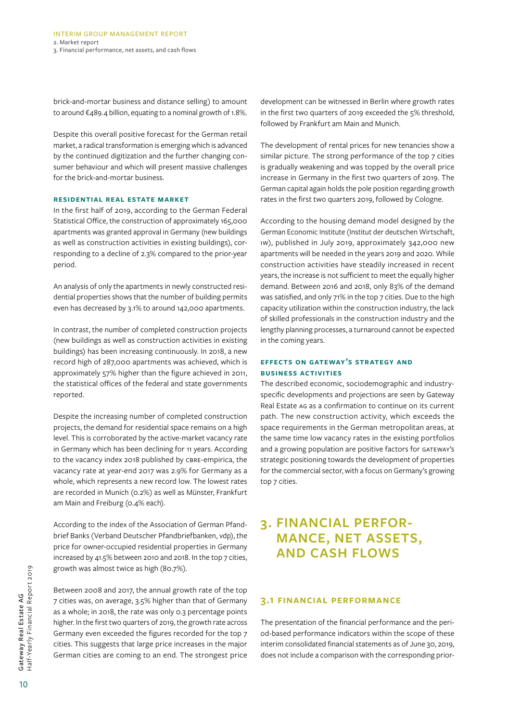brick-and-mortar business and distance selling) to amount to around €489.4 billion, equating to a nominal growth of 1.8%.

Despite this overall positive forecast for the German retail market, a radical transformation is emerging which is advanced by the continued digitization and the further changing consumer behaviour and which will present massive challenges for the brick-and-mortar business.

#### **Residential real estate market**

In the first half of 2019, according to the German Federal Statistical Office, the construction of approximately 165,000 apartments was granted approval in Germany (new buildings as well as construction activities in existing buildings), corresponding to a decline of 2.3% compared to the prior-year period.

An analysis of only the apartments in newly constructed residential properties shows that the number of building permits even has decreased by 3.1% to around 142,000 apartments.

In contrast, the number of completed construction projects (new buildings as well as construction activities in existing buildings) has been increasing continuously. In 2018, a new record high of 287,000 apartments was achieved, which is approximately 57% higher than the figure achieved in 2011, the statistical offices of the federal and state governments reported.

Despite the increasing number of completed construction projects, the demand for residential space remains on a high level. This is corroborated by the active-market vacancy rate in Germany which has been declining for 11 years. According to the vacancy index 2018 published by CBRE-empirica, the vacancy rate at year-end 2017 was 2.9% for Germany as a whole, which represents a new record low. The lowest rates are recorded in Munich (0.2%) as well as Münster, Frankfurt am Main and Freiburg (0.4% each).

According to the index of the Association of German Pfandbrief Banks (Verband Deutscher Pfandbriefbanken, vdp), the price for owner-occupied residential properties in Germany increased by 41.5% between 2010 and 2018. In the top 7 cities, growth was almost twice as high (80.7%).

Between 2008 and 2017, the annual growth rate of the top 7 cities was, on average, 3.5% higher than that of Germany as a whole; in 2018, the rate was only 0.3 percentage points higher. In the first two quarters of 2019, the growth rate across Germany even exceeded the figures recorded for the top 7 cities. This suggests that large price increases in the major German cities are coming to an end. The strongest price development can be witnessed in Berlin where growth rates in the first two quarters of 2019 exceeded the 5% threshold, followed by Frankfurt am Main and Munich.

The development of rental prices for new tenancies show a similar picture. The strong performance of the top 7 cities is gradually weakening and was topped by the overall price increase in Germany in the first two quarters of 2019. The German capital again holds the pole position regarding growth rates in the first two quarters 2019, followed by Cologne.

According to the housing demand model designed by the German Economic Institute (Institut der deutschen Wirtschaft, IW), published in July 2019, approximately 342,000 new apartments will be needed in the years 2019 and 2020. While construction activities have steadily increased in recent years, the increase is not sufficient to meet the equally higher demand. Between 2016 and 2018, only 83% of the demand was satisfied, and only 71% in the top 7 cities. Due to the high capacity utilization within the construction industry, the lack of skilled professionals in the construction industry and the lengthy planning processes, a turnaround cannot be expected in the coming years.

#### **Effects on Gateway's strategy and business activities**

The described economic, sociodemographic and industryspecific developments and projections are seen by Gateway Real Estate AG as a confirmation to continue on its current path. The new construction activity, which exceeds the space requirements in the German metropolitan areas, at the same time low vacancy rates in the existing portfolios and a growing population are positive factors for GATEWAY's strategic positioning towards the development of properties for the commercial sector, with a focus on Germany's growing top 7 cities.

## **3. FINANCIAL PERFOR-MANCE, NET ASSETS, AND CASH FLOWS**

#### **3.1 Financial performance**

The presentation of the financial performance and the period-based performance indicators within the scope of these interim consolidated financial statements as of June 30,  2019, does not include a comparison with the corresponding prior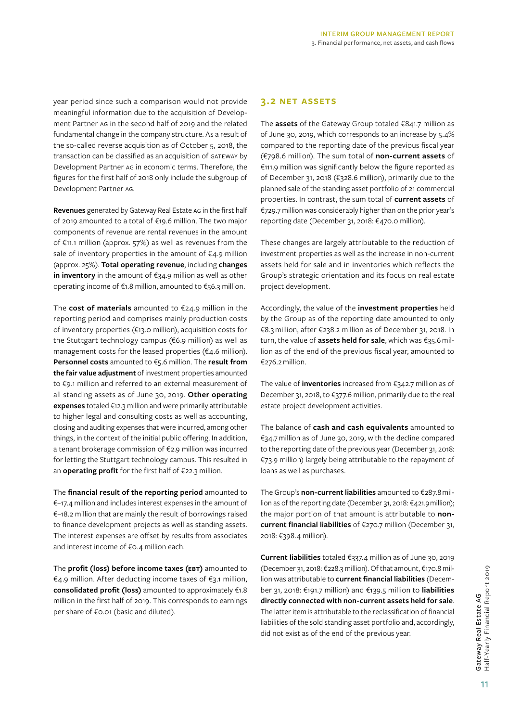year period since such a comparison would not provide meaningful information due to the acquisition of Development Partner AG in the second half of 2019 and the related fundamental change in the company structure. As a result of the so-called reverse acquisition as of October 5, 2018, the transaction can be classified as an acquisition of Gateway by Development Partner AG in economic terms. Therefore, the figures for the first half of 2018 only include the subgroup of Development Partner AG.

**Revenues** generated by Gateway Real Estate AG in the first half of 2019 amounted to a total of €19.6 million. The two major components of revenue are rental revenues in the amount of €11.1 million (approx. 57%) as well as revenues from the sale of inventory properties in the amount of  $\epsilon_4$ .9 million (approx. 25%). **Total operating revenue**, including **changes in inventory** in the amount of €34.9 million as well as other operating income of €1.8 million, amounted to €56.3 million.

The **cost of materials** amounted to €24.9 million in the reporting period and comprises mainly production costs of inventory properties (€13.0 million), acquisition costs for the Stuttgart technology campus (€6.9 million) as well as management costs for the leased properties ( $\epsilon$ 4.6 million). **Personnel costs** amounted to €5.6 million. The **result from the fair value adjustment** of investment properties amounted to €9.1 million and referred to an external measurement of all standing assets as of June 30, 2019. **Other operating expenses** totaled €12.3 million and were primarily attributable to higher legal and consulting costs as well as accounting, closing and auditing expenses that were incurred, among other things, in the context of the initial public offering. In addition, a tenant brokerage commission of €2.9 million was incurred for letting the Stuttgart technology campus. This resulted in an **operating profit** for the first half of €22.3 million.

The **financial result of the reporting period** amounted to €–17.4 million and includes interest expenses in the amount of €–18.2 million that are mainly the result of borrowings raised to finance development projects as well as standing assets. The interest expenses are offset by results from associates and interest income of €0.4 million each.

The **profit (loss) before income taxes (EBT)** amounted to €4.9 million. After deducting income taxes of €3.1 million, **consolidated profit (loss)** amounted to approximately €1.8 million in the first half of 2019. This corresponds to earnings per share of €0.01 (basic and diluted).

#### **3.2 Net assets**

The **assets** of the Gateway Group totaled €841.7 million as of June 30, 2019, which corresponds to an increase by 5.4% compared to the reporting date of the previous fiscal year (€798.6 million). The sum total of **non-current assets** of €111.9 million was significantly below the figure reported as of December 31, 2018 (€328.6 million), primarily due to the planned sale of the standing asset portfolio of 21 commercial properties. In contrast, the sum total of **current assets** of €729.7 million was considerably higher than on the prior year's reporting date (December 31, 2018: €470.0 million).

These changes are largely attributable to the reduction of investment properties as well as the increase in non-current assets held for sale and in inventories which reflects the Group's strategic orientation and its focus on real estate project development.

Accordingly, the value of the **investment properties** held by the Group as of the reporting date amounted to only €8.3 million, after €238.2 million as of December 31, 2018. In turn, the value of **assets held for sale**, which was €35.6 million as of the end of the previous fiscal year, amounted to €276.2 million.

The value of **inventories** increased from €342.7 million as of December 31, 2018, to €377.6 million, primarily due to the real estate project development activities.

The balance of **cash and cash equivalents** amounted to €34.7 million as of June 30, 2019, with the decline compared to the reporting date of the previous year (December 31, 2018: €73.9 million) largely being attributable to the repayment of loans as well as purchases.

The Group's **non-current liabilities** amounted to €287.8 million as of the reporting date (December 31, 2018: €421.9 million); the major portion of that amount is attributable to **noncurrent financial liabilities** of €270.7 million (December 31, 2018: €398.4 million).

**Current liabilities** totaled €337.4 million as of June 30,  2019 (December 31, 2018: €228.3 million). Of that amount, €170.8  million was attributable to **current financial liabilities** (December  31, 2018: €191.7 million) and €139.5 million to **liabilities directly connected with non-current assets held for sale**. The latter item is attributable to the reclassification of financial liabilities of the sold standing asset portfolio and, accordingly, did not exist as of the end of the previous year.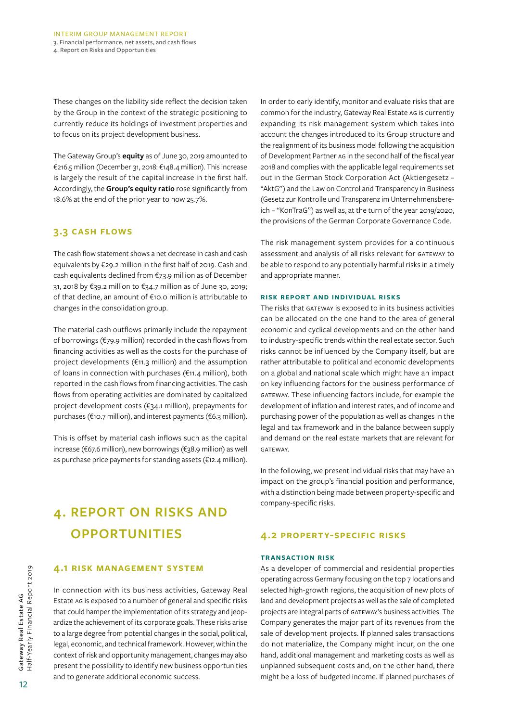These changes on the liability side reflect the decision taken by the Group in the context of the strategic positioning to currently reduce its holdings of investment properties and to focus on its project development business.

The Gateway Group's **equity** as of June 30, 2019 amounted to €216.5 million (December 31, 2018: €148.4 million). This increase is largely the result of the capital increase in the first half. Accordingly, the **Group's equity ratio** rose significantly from 18.6% at the end of the prior year to now 25.7%.

#### **3.3 Cash flows**

The cash flow statement shows a net decrease in cash and cash equivalents by €29.2 million in the first half of 2019. Cash and cash equivalents declined from €73.9 million as of December 31, 2018 by €39.2 million to €34.7 million as of June 30, 2019; of that decline, an amount of €10.0 million is attributable to changes in the consolidation group.

The material cash outflows primarily include the repayment of borrowings (€79.9 million) recorded in the cash flows from financing activities as well as the costs for the purchase of project developments (€11.3 million) and the assumption of loans in connection with purchases (€11.4 million), both reported in the cash flows from financing activities. The cash flows from operating activities are dominated by capitalized project development costs (€34.1 million), prepayments for purchases (€10.7 million), and interest payments (€6.3 million).

This is offset by material cash inflows such as the capital increase (€67.6 million), new borrowings (€38.9 million) as well as purchase price payments for standing assets (€12.4 million).

## **4. REPORT ON RISKS AND OPPORTUNITIES**

#### **4.1 Risk management system**

In connection with its business activities, Gateway Real Estate AG is exposed to a number of general and specific risks that could hamper the implementation of its strategy and jeopardize the achievement of its corporate goals. These risks arise to a large degree from potential changes in the social, political, legal, economic, and technical framework. However, within the context of risk and opportunity management, changes may also present the possibility to identify new business opportunities and to generate additional economic success.

In order to early identify, monitor and evaluate risks that are common for the industry, Gateway Real Estate AG is currently expanding its risk management system which takes into account the changes introduced to its Group structure and the realignment of its business model following the acquisition of Development Partner AG in the second half of the fiscal year 2018 and complies with the applicable legal requirements set out in the German Stock Corporation Act (Aktiengesetz – "AktG") and the Law on Control and Transparency in Business (Gesetz zur Kontrolle und Transparenz im Unternehmensbereich – "KonTraG") as well as, at the turn of the year 2019/2020, the provisions of the German Corporate Governance Code.

The risk management system provides for a continuous assessment and analysis of all risks relevant for GATEWAY to be able to respond to any potentially harmful risks in a timely and appropriate manner.

#### **Risk report and individual risks**

The risks that GATEWAY is exposed to in its business activities can be allocated on the one hand to the area of general economic and cyclical developments and on the other hand to industry-specific trends within the real estate sector. Such risks cannot be influenced by the Company itself, but are rather attributable to political and economic developments on a global and national scale which might have an impact on key influencing factors for the business performance of Gateway. These influencing factors include, for example the development of inflation and interest rates, and of income and purchasing power of the population as well as changes in the legal and tax framework and in the balance between supply and demand on the real estate markets that are relevant for **GATFWAY** 

In the following, we present individual risks that may have an impact on the group's financial position and performance, with a distinction being made between property-specific and company-specific risks.

#### **4.2 Property-specific risks**

#### **Transaction risk**

As a developer of commercial and residential properties operating across Germany focusing on the top 7 locations and selected high-growth regions, the acquisition of new plots of land and development projects as well as the sale of completed projects are integral parts of Gateway's business activities. The Company generates the major part of its revenues from the sale of development projects. If planned sales transactions do not materialize, the Company might incur, on the one hand, additional management and marketing costs as well as unplanned subsequent costs and, on the other hand, there might be a loss of budgeted income. If planned purchases of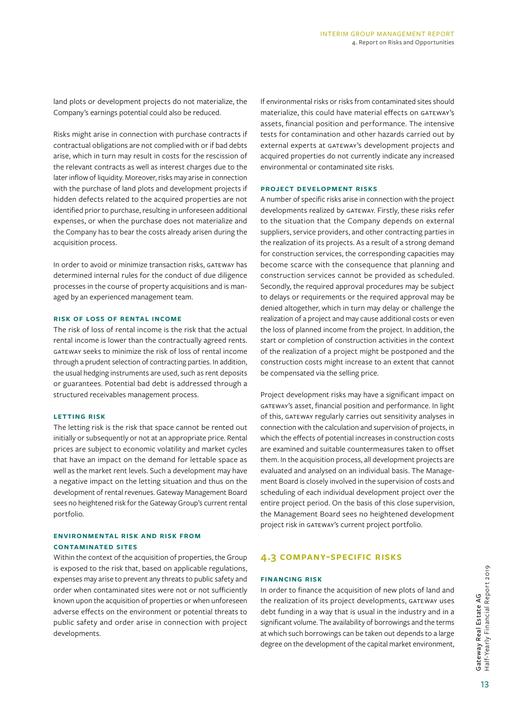land plots or development projects do not materialize, the Company's earnings potential could also be reduced.

Risks might arise in connection with purchase contracts if contractual obligations are not complied with or if bad debts arise, which in turn may result in costs for the rescission of the relevant contracts as well as interest charges due to the later inflow of liquidity. Moreover, risks may arise in connection with the purchase of land plots and development projects if hidden defects related to the acquired properties are not identified prior to purchase, resulting in unforeseen additional expenses, or when the purchase does not materialize and the Company has to bear the costs already arisen during the acquisition process.

In order to avoid or minimize transaction risks, Gateway has determined internal rules for the conduct of due diligence processes in the course of property acquisitions and is managed by an experienced management team.

#### **Risk of loss of rental income**

The risk of loss of rental income is the risk that the actual rental income is lower than the contractually agreed rents. Gateway seeks to minimize the risk of loss of rental income through a prudent selection of contracting parties. In addition, the usual hedging instruments are used, such as rent deposits or guarantees. Potential bad debt is addressed through a structured receivables management process.

#### **Letting risk**

The letting risk is the risk that space cannot be rented out initially or subsequently or not at an appropriate price. Rental prices are subject to economic volatility and market cycles that have an impact on the demand for lettable space as well as the market rent levels. Such a development may have a negative impact on the letting situation and thus on the development of rental revenues. Gateway Management Board sees no heightened risk for the Gateway Group's current rental portfolio.

#### **Environmental risk and risk from contaminated sites**

Within the context of the acquisition of properties, the Group is exposed to the risk that, based on applicable regulations, expenses may arise to prevent any threats to public safety and order when contaminated sites were not or not sufficiently known upon the acquisition of properties or when unforeseen adverse effects on the environment or potential threats to public safety and order arise in connection with project developments.

If environmental risks or risks from contaminated sites should materialize, this could have material effects on Gateway's assets, financial position and performance. The intensive tests for contamination and other hazards carried out by external experts at Gateway's development projects and acquired properties do not currently indicate any increased environmental or contaminated site risks.

#### **Project development risks**

A number of specific risks arise in connection with the project developments realized by Gateway. Firstly, these risks refer to the situation that the Company depends on external suppliers, service providers, and other contracting parties in the realization of its projects. As a result of a strong demand for construction services, the corresponding capacities may become scarce with the consequence that planning and construction services cannot be provided as scheduled. Secondly, the required approval procedures may be subject to delays or requirements or the required approval may be denied altogether, which in turn may delay or challenge the realization of a project and may cause additional costs or even the loss of planned income from the project. In addition, the start or completion of construction activities in the context of the realization of a project might be postponed and the construction costs might increase to an extent that cannot be compensated via the selling price.

Project development risks may have a significant impact on Gateway's asset, financial position and performance. In light of this, Gateway regularly carries out sensitivity analyses in connection with the calculation and supervision of projects, in which the effects of potential increases in construction costs are examined and suitable countermeasures taken to offset them. In the acquisition process, all development projects are evaluated and analysed on an individual basis. The Management Board is closely involved in the supervision of costs and scheduling of each individual development project over the entire project period. On the basis of this close supervision, the Management Board sees no heightened development project risk in Gateway's current project portfolio.

#### **4.3 Company-specific risks**

#### **Financing risk**

In order to finance the acquisition of new plots of land and the realization of its project developments, Gateway uses debt funding in a way that is usual in the industry and in a significant volume. The availability of borrowings and the terms at which such borrowings can be taken out depends to a large degree on the development of the capital market environment,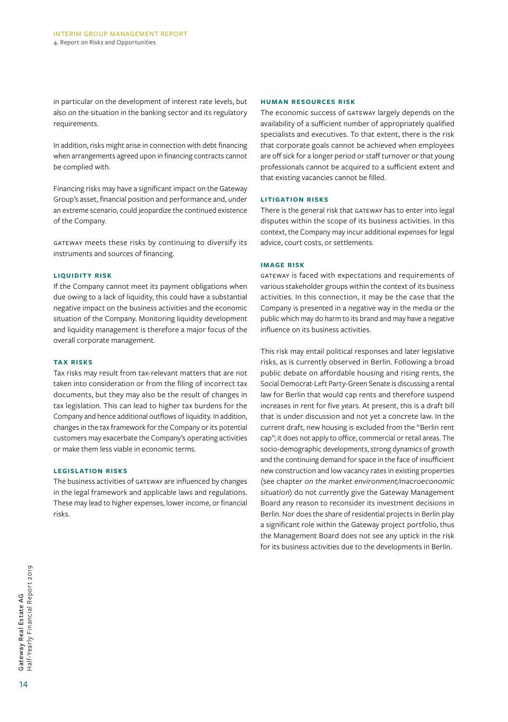in particular on the development of interest rate levels, but also on the situation in the banking sector and its regulatory requirements.

In addition, risks might arise in connection with debt financing when arrangements agreed upon in financing contracts cannot be complied with.

Financing risks may have a significant impact on the Gateway Group's asset, financial position and performance and, under an extreme scenario, could jeopardize the continued existence of the Company.

Gateway meets these risks by continuing to diversify its instruments and sources of financing.

#### **Liquidity risk**

If the Company cannot meet its payment obligations when due owing to a lack of liquidity, this could have a substantial negative impact on the business activities and the economic situation of the Company. Monitoring liquidity development and liquidity management is therefore a major focus of the overall corporate management.

#### **Tax risks**

Tax risks may result from tax-relevant matters that are not taken into consideration or from the filing of incorrect tax documents, but they may also be the result of changes in tax legislation. This can lead to higher tax burdens for the Company and hence additional outflows of liquidity. In addition, changes in the tax framework for the Company or its potential customers may exacerbate the Company's operating activities or make them less viable in economic terms.

#### **Legislation risks**

The business activities of Gateway are influenced by changes in the legal framework and applicable laws and regulations. These may lead to higher expenses, lower income, or financial risks.

#### **Human resources risk**

The economic success of Gateway largely depends on the availability of a sufficient number of appropriately qualified specialists and executives. To that extent, there is the risk that corporate goals cannot be achieved when employees are off sick for a longer period or staff turnover or that young professionals cannot be acquired to a sufficient extent and that existing vacancies cannot be filled.

#### **Litigation risks**

There is the general risk that GATEWAY has to enter into legal disputes within the scope of its business activities. In this context, the Company may incur additional expenses for legal advice, court costs, or settlements.

#### **Image risk**

Gateway is faced with expectations and requirements of various stakeholder groups within the context of its business activities. In this connection, it may be the case that the Company is presented in a negative way in the media or the public which may do harm to its brand and may have a negative influence on its business activities.

This risk may entail political responses and later legislative risks, as is currently observed in Berlin. Following a broad public debate on affordable housing and rising rents, the Social Democrat-Left Party-Green Senate is discussing a rental law for Berlin that would cap rents and therefore suspend increases in rent for five years. At present, this is a draft bill that is under discussion and not yet a concrete law. In the current draft, new housing is excluded from the "Berlin rent cap"; it does not apply to office, commercial or retail areas. The socio-demographic developments, strong dynamics of growth and the continuing demand for space in the face of insufficient new construction and low vacancy rates in existing properties (see chapter *on the market environment/macroeconomic situation*) do not currently give the Gateway Management Board any reason to reconsider its investment decisions in Berlin. Nor does the share of residential projects in Berlin play a significant role within the Gateway project portfolio, thus the Management Board does not see any uptick in the risk for its business activities due to the developments in Berlin.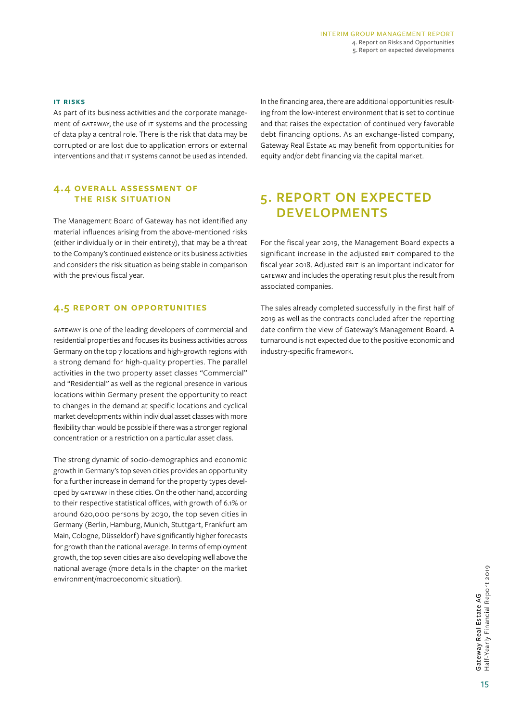#### **IT risks**

As part of its business activities and the corporate management of GATEWAY, the use of IT systems and the processing of data play a central role. There is the risk that data may be corrupted or are lost due to application errors or external interventions and that IT systems cannot be used as intended.

#### **4.4 Overall assessment of the risk situation**

The Management Board of Gateway has not identified any material influences arising from the above-mentioned risks (either individually or in their entirety), that may be a threat to the Company's continued existence or its business activities and considers the risk situation as being stable in comparison with the previous fiscal year.

#### **4.5 Report on opportunities**

Gateway is one of the leading developers of commercial and residential properties and focuses its business activities across Germany on the top 7 locations and high-growth regions with a strong demand for high-quality properties. The parallel activities in the two property asset classes "Commercial" and "Residential" as well as the regional presence in various locations within Germany present the opportunity to react to changes in the demand at specific locations and cyclical market developments within individual asset classes with more flexibility than would be possible if there was a stronger regional concentration or a restriction on a particular asset class.

The strong dynamic of socio-demographics and economic growth in Germany's top seven cities provides an opportunity for a further increase in demand for the property types developed by Gateway in these cities. On the other hand, according to their respective statistical offices, with growth of 6.1% or around 620,000 persons by 2030, the top seven cities in Germany (Berlin, Hamburg, Munich, Stuttgart, Frankfurt am Main, Cologne, Düsseldorf) have significantly higher forecasts for growth than the national average. In terms of employment growth, the top seven cities are also developing well above the national average (more details in the chapter on the market environment/macroeconomic situation).

In the financing area, there are additional opportunities resulting from the low-interest environment that is set to continue and that raises the expectation of continued very favorable debt financing options. As an exchange-listed company, Gateway Real Estate AG may benefit from opportunities for equity and/or debt financing via the capital market.

## **5. REPORT ON EXPECTED DEVELOPMENTS**

For the fiscal year 2019, the Management Board expects a significant increase in the adjusted EBIT compared to the fiscal year 2018. Adjusted EBIT is an important indicator for Gateway and includes the operating result plus the result from associated companies.

The sales already completed successfully in the first half of 2019 as well as the contracts concluded after the reporting date confirm the view of Gateway's Management Board. A turnaround is not expected due to the positive economic and industry-specific framework.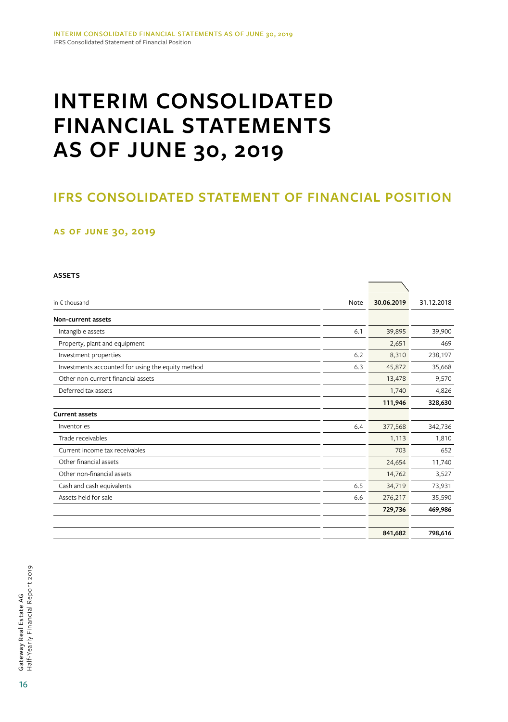# **INTERIM CONSOLIDATED FINANCIAL STATEMENTS AS OF JUNE 30, 2019**

## **IFRS CONSOLIDATED STATEMENT OF FINANCIAL POSITION**

#### **AS OF JUNE 30, 2019**

#### **ASSETS**

| in $\epsilon$ thousand                            | Note | 30.06.2019 | 31.12.2018 |
|---------------------------------------------------|------|------------|------------|
| Non-current assets                                |      |            |            |
| Intangible assets                                 | 6.1  | 39,895     | 39,900     |
| Property, plant and equipment                     |      | 2,651      | 469        |
| Investment properties                             | 6.2  | 8,310      | 238,197    |
| Investments accounted for using the equity method | 6.3  | 45,872     | 35,668     |
| Other non-current financial assets                |      | 13,478     | 9,570      |
| Deferred tax assets                               |      | 1,740      | 4,826      |
|                                                   |      | 111,946    | 328,630    |
| <b>Current assets</b>                             |      |            |            |
| Inventories                                       | 6.4  | 377,568    | 342,736    |
| Trade receivables                                 |      | 1,113      | 1,810      |
| Current income tax receivables                    |      | 703        | 652        |
| Other financial assets                            |      | 24,654     | 11,740     |
| Other non-financial assets                        |      | 14,762     | 3,527      |
| Cash and cash equivalents                         | 6.5  | 34,719     | 73,931     |
| Assets held for sale                              | 6.6  | 276,217    | 35,590     |
|                                                   |      | 729,736    | 469,986    |
|                                                   |      | 841,682    | 798,616    |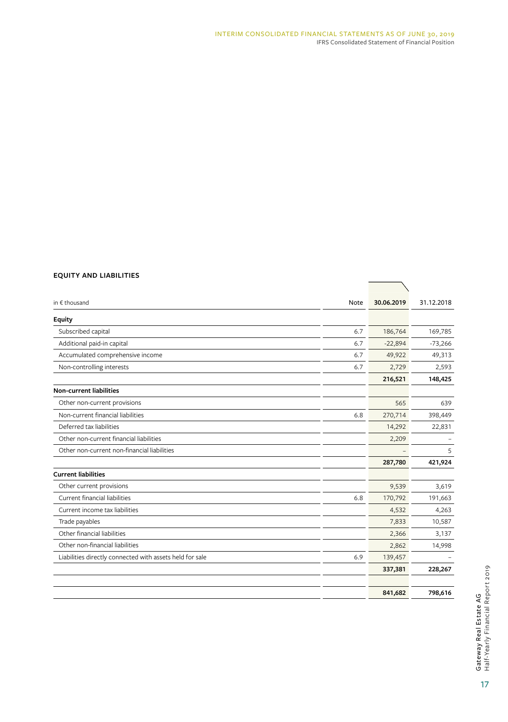#### **EQUITY AND LIABILITIES**

| in € thousand                                            | Note | 30.06.2019 | 31.12.2018 |  |
|----------------------------------------------------------|------|------------|------------|--|
| Equity                                                   |      |            |            |  |
| Subscribed capital                                       | 6.7  | 186,764    | 169,785    |  |
| Additional paid-in capital                               | 6.7  | $-22,894$  | $-73,266$  |  |
| Accumulated comprehensive income                         | 6.7  | 49,922     | 49,313     |  |
| Non-controlling interests                                | 6.7  | 2,729      | 2,593      |  |
|                                                          |      | 216,521    | 148,425    |  |
| <b>Non-current liabilities</b>                           |      |            |            |  |
| Other non-current provisions                             |      | 565        | 639        |  |
| Non-current financial liabilities                        | 6.8  | 270,714    | 398,449    |  |
| Deferred tax liabilities                                 |      | 14,292     | 22,831     |  |
| Other non-current financial liabilities                  |      | 2,209      |            |  |
| Other non-current non-financial liabilities              |      |            | 5          |  |
|                                                          |      | 287,780    | 421,924    |  |
| <b>Current liabilities</b>                               |      |            |            |  |
| Other current provisions                                 |      | 9,539      | 3,619      |  |
| Current financial liabilities                            | 6.8  | 170,792    | 191,663    |  |
| Current income tax liabilities                           |      | 4,532      | 4,263      |  |
| Trade payables                                           |      | 7,833      | 10,587     |  |
| Other financial liabilities                              |      | 2,366      | 3,137      |  |
| Other non-financial liabilities                          |      | 2,862      | 14,998     |  |
| Liabilities directly connected with assets held for sale | 6.9  | 139,457    |            |  |
|                                                          |      | 337,381    | 228,267    |  |
|                                                          |      | 841,682    | 798,616    |  |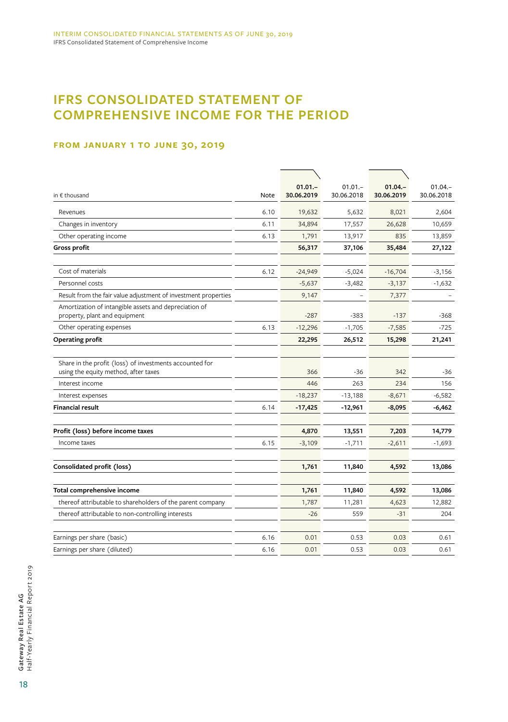## **IFRS CONSOLIDATED STATEMENT OF COMPREHENSIVE INCOME FOR THE PERIOD**

#### **from january 1 to June 30, 2019**

| in $\epsilon$ thousand                                                                          | Note | $01.01 -$<br>30.06.2019 | $01.01 -$<br>30.06.2018 | $01.04 -$<br>30.06.2019 | $01.04 -$<br>30.06.2018 |
|-------------------------------------------------------------------------------------------------|------|-------------------------|-------------------------|-------------------------|-------------------------|
| Revenues                                                                                        | 6.10 | 19,632                  | 5,632                   | 8,021                   | 2,604                   |
| Changes in inventory                                                                            | 6.11 | 34,894                  | 17,557                  | 26,628                  | 10,659                  |
| Other operating income                                                                          | 6.13 | 1,791                   | 13,917                  | 835                     | 13,859                  |
| Gross profit                                                                                    |      | 56,317                  | 37,106                  | 35,484                  | 27,122                  |
| Cost of materials                                                                               | 6.12 | $-24,949$               | $-5,024$                | $-16,704$               | $-3,156$                |
| Personnel costs                                                                                 |      | $-5,637$                | $-3,482$                | $-3,137$                | $-1,632$                |
| Result from the fair value adjustment of investment properties                                  |      | 9,147                   |                         | 7,377                   |                         |
| Amortization of intangible assets and depreciation of<br>property, plant and equipment          |      | $-287$                  | $-383$                  | $-137$                  | $-368$                  |
| Other operating expenses                                                                        | 6.13 | $-12,296$               | $-1,705$                | $-7,585$                | $-725$                  |
| <b>Operating profit</b>                                                                         |      | 22,295                  | 26,512                  | 15,298                  | 21,241                  |
| Share in the profit (loss) of investments accounted for<br>using the equity method, after taxes |      | 366                     | $-36$                   | 342                     | $-36$                   |
| Interest income                                                                                 |      | 446                     | 263                     | 234                     | 156                     |
| Interest expenses                                                                               |      | $-18,237$               | $-13,188$               | $-8,671$                | $-6,582$                |
| <b>Financial result</b>                                                                         | 6.14 | $-17,425$               | $-12,961$               | $-8,095$                | $-6,462$                |
| Profit (loss) before income taxes                                                               |      | 4,870                   | 13,551                  | 7,203                   | 14,779                  |
| Income taxes                                                                                    | 6.15 | $-3,109$                | $-1,711$                | $-2,611$                | $-1,693$                |
| Consolidated profit (loss)                                                                      |      | 1,761                   | 11,840                  | 4,592                   | 13,086                  |
| Total comprehensive income                                                                      |      | 1,761                   | 11,840                  | 4,592                   | 13,086                  |
| thereof attributable to shareholders of the parent company                                      |      | 1,787                   | 11,281                  | 4,623                   | 12,882                  |
| thereof attributable to non-controlling interests                                               |      | $-26$                   | 559                     | $-31$                   | 204                     |
| Earnings per share (basic)                                                                      | 6.16 | 0.01                    | 0.53                    | 0.03                    | 0.61                    |
| Earnings per share (diluted)                                                                    | 6.16 | 0.01                    | 0.53                    | 0.03                    | 0.61                    |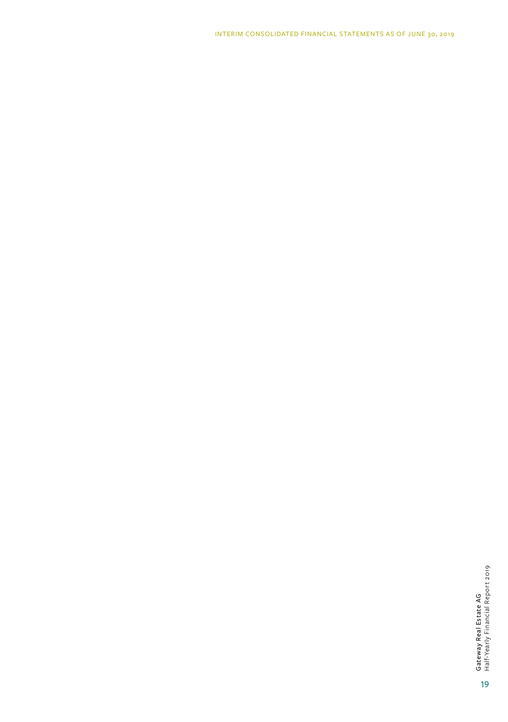19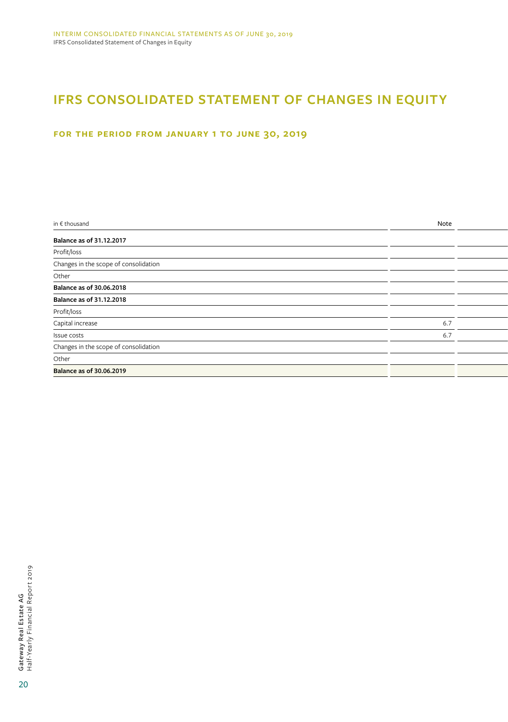## **IFRS CONSOLIDATED STATEMENT OF CHANGES IN EQUITY**

#### **FOR THE PERIOD FROM JANUARY 1 TO JUNE 30, 2019**

| Note |  |
|------|--|
|      |  |
|      |  |
|      |  |
|      |  |
|      |  |
|      |  |
|      |  |
| 6.7  |  |
| 6.7  |  |
|      |  |
|      |  |
|      |  |
|      |  |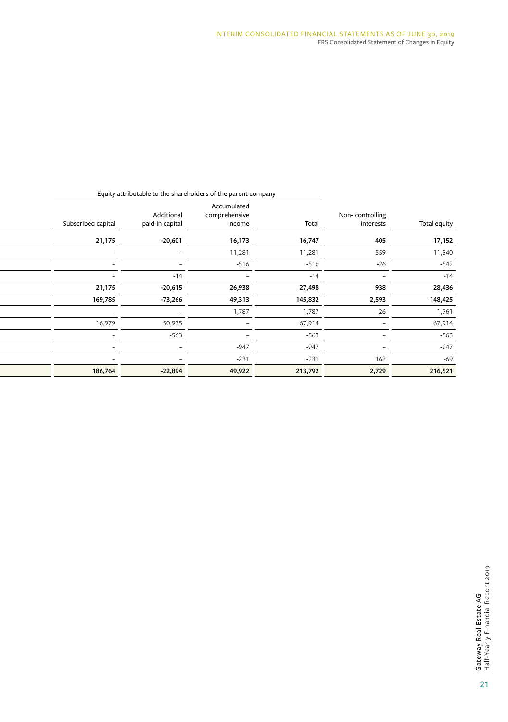|              |                              | Equity attributable to the shareholders or the parent company |                                        |                               |                          |
|--------------|------------------------------|---------------------------------------------------------------|----------------------------------------|-------------------------------|--------------------------|
| Total equity | Non-controlling<br>interests | Total                                                         | Accumulated<br>comprehensive<br>income | Additional<br>paid-in capital | Subscribed capital       |
| 17,152       | 405                          | 16,747                                                        | 16,173                                 | $-20,601$                     | 21,175                   |
| 11,840       | 559                          | 11,281                                                        | 11,281                                 | $\overline{\phantom{a}}$      |                          |
| $-542$       | $-26$                        | $-516$                                                        | $-516$                                 | $\overline{\phantom{a}}$      | $\overline{\phantom{a}}$ |
| $-14$        | $\overline{\phantom{a}}$     | $-14$                                                         | $\overline{\phantom{a}}$               | $-14$                         |                          |
| 28,436       | 938                          | 27,498                                                        | 26,938                                 | -20,615                       | 21,175                   |
| 148,425      | 2,593                        | 145,832                                                       | 49,313                                 | -73,266                       | 169,785                  |
| 1,761        | $-26$                        | 1,787                                                         | 1,787                                  | $\overline{\phantom{0}}$      | $\overline{\phantom{a}}$ |
| 67,914       |                              | 67,914                                                        | $\overline{\phantom{0}}$               | 50,935                        | 16,979                   |
| $-563$       |                              | $-563$                                                        | $\overline{\phantom{0}}$               | $-563$                        | $\overline{\phantom{a}}$ |
| -947         |                              | $-947$                                                        | $-947$                                 | $\overline{\phantom{0}}$      |                          |
| $-69$        | 162                          | $-231$                                                        | $-231$                                 | $\overline{\phantom{0}}$      | $\sim$                   |
| 216,521      | 2,729                        | 213,792                                                       | 49,922                                 | $-22,894$                     | 186,764                  |

#### Equity attributable to the shareholders of the parent company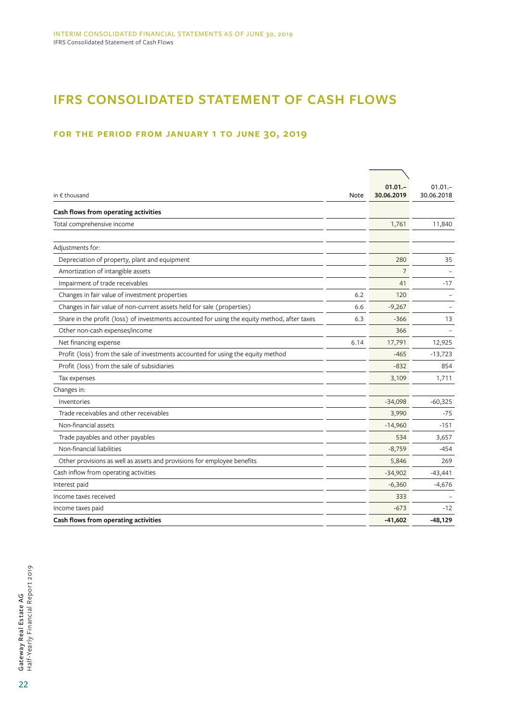## **IFRS CONSOLIDATED STATEMENT OF CASH FLOWS**

#### **FOR THE PERIOD FROM JANUARY 1 TO JUNE 30, 2019**

|                                                                                              |      | $01.01 -$      | $01.01 -$  |
|----------------------------------------------------------------------------------------------|------|----------------|------------|
| in $\epsilon$ thousand                                                                       | Note | 30.06.2019     | 30.06.2018 |
| Cash flows from operating activities                                                         |      |                |            |
| Total comprehensive income                                                                   |      | 1,761          | 11,840     |
|                                                                                              |      |                |            |
| Adjustments for:                                                                             |      |                |            |
| Depreciation of property, plant and equipment                                                |      | 280            | 35         |
| Amortization of intangible assets                                                            |      | $\overline{7}$ |            |
| Impairment of trade receivables                                                              |      | 41             | $-17$      |
| Changes in fair value of investment properties                                               | 6.2  | 120            |            |
| Changes in fair value of non-current assets held for sale (properties)                       | 6.6  | $-9,267$       |            |
| Share in the profit (loss) of investments accounted for using the equity method, after taxes | 6.3  | $-366$         | 13         |
| Other non-cash expenses/income                                                               |      | 366            |            |
| Net financing expense                                                                        | 6.14 | 17,791         | 12,925     |
| Profit (loss) from the sale of investments accounted for using the equity method             |      | $-465$         | $-13,723$  |
| Profit (loss) from the sale of subsidiaries                                                  |      | $-832$         | 854        |
| Tax expenses                                                                                 |      | 3,109          | 1,711      |
| Changes in:                                                                                  |      |                |            |
| Inventories                                                                                  |      | $-34,098$      | $-60,325$  |
| Trade receivables and other receivables                                                      |      | 3,990          | $-75$      |
| Non-financial assets                                                                         |      | $-14,960$      | $-151$     |
| Trade payables and other payables                                                            |      | 534            | 3,657      |
| Non-financial liabilities                                                                    |      | $-8,759$       | $-454$     |
| Other provisions as well as assets and provisions for employee benefits                      |      | 5,846          | 269        |
| Cash inflow from operating activities                                                        |      | $-34,902$      | $-43,441$  |
| Interest paid                                                                                |      | $-6,360$       | $-4,676$   |
| Income taxes received                                                                        |      | 333            |            |
| Income taxes paid                                                                            |      | $-673$         | $-12$      |
| Cash flows from operating activities                                                         |      | $-41,602$      | $-48,129$  |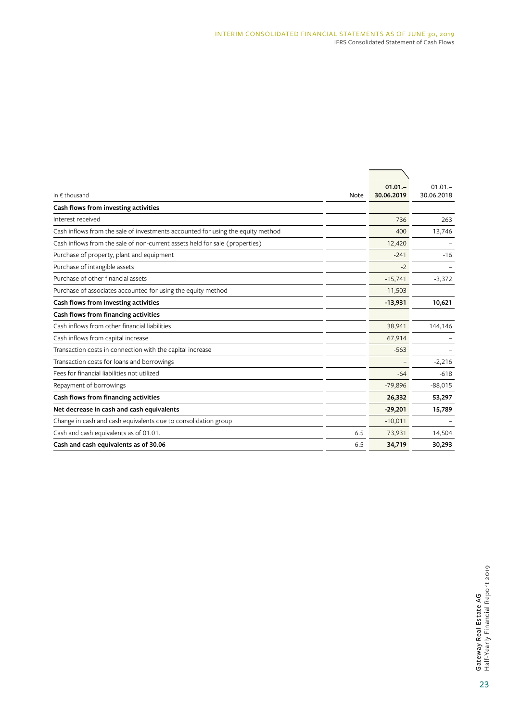| INTERIM CONSOLIDATED FINANCIAL STATEMENTS AS OF JUNE 30, 2019 |                                                  |  |  |  |
|---------------------------------------------------------------|--------------------------------------------------|--|--|--|
|                                                               | <b>IFRS Consolidated Statement of Cash Flows</b> |  |  |  |

|                                                                                 |      | $01.01 -$  | $01.01 -$  |
|---------------------------------------------------------------------------------|------|------------|------------|
| in $f$ thousand                                                                 | Note | 30.06.2019 | 30.06.2018 |
| Cash flows from investing activities                                            |      |            |            |
| Interest received                                                               |      | 736        | 263        |
| Cash inflows from the sale of investments accounted for using the equity method |      | 400        | 13,746     |
| Cash inflows from the sale of non-current assets held for sale (properties)     |      | 12,420     |            |
| Purchase of property, plant and equipment                                       |      | $-241$     | $-16$      |
| Purchase of intangible assets                                                   |      | $-2$       |            |
| Purchase of other financial assets                                              |      | $-15,741$  | $-3,372$   |
| Purchase of associates accounted for using the equity method                    |      | $-11,503$  |            |
| Cash flows from investing activities                                            |      | $-13,931$  | 10,621     |
| Cash flows from financing activities                                            |      |            |            |
| Cash inflows from other financial liabilities                                   |      | 38,941     | 144,146    |
| Cash inflows from capital increase                                              |      | 67,914     |            |
| Transaction costs in connection with the capital increase                       |      | $-563$     |            |
| Transaction costs for loans and borrowings                                      |      |            | $-2,216$   |
| Fees for financial liabilities not utilized                                     |      | $-64$      | $-618$     |
| Repayment of borrowings                                                         |      | $-79,896$  | $-88,015$  |
| Cash flows from financing activities                                            |      | 26,332     | 53,297     |
| Net decrease in cash and cash equivalents                                       |      | $-29,201$  | 15,789     |
| Change in cash and cash equivalents due to consolidation group                  |      | $-10,011$  |            |
| Cash and cash equivalents as of 01.01.                                          | 6.5  | 73,931     | 14,504     |
| Cash and cash equivalents as of 30.06                                           | 6.5  | 34,719     | 30,293     |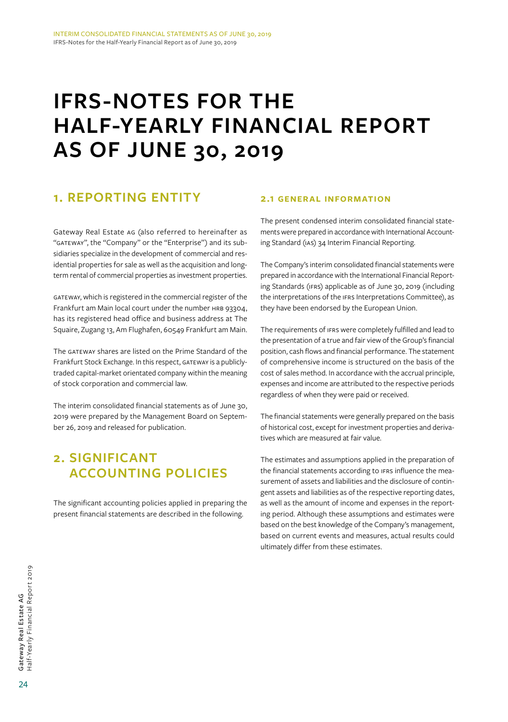# **IFRS-NOTES FOR THE HALF-YEARLY FINANCIAL REPORT AS OF JUNE 30, 2019**

### **1. REPORTING ENTITY**

Gateway Real Estate AG (also referred to hereinafter as "GATEWAY", the "Company" or the "Enterprise") and its subsidiaries specialize in the development of commercial and residential properties for sale as well as the acquisition and longterm rental of commercial properties as investment properties.

GATEWAY, which is registered in the commercial register of the Frankfurt am Main local court under the number HRB 93304, has its registered head office and business address at The Squaire, Zugang 13, Am Flughafen, 60549 Frankfurt am Main.

The GATEWAY shares are listed on the Prime Standard of the Frankfurt Stock Exchange. In this respect, GATEWAY is a publiclytraded capital-market orientated company within the meaning of stock corporation and commercial law.

The interim consolidated financial statements as of June 30, 2019 were prepared by the Management Board on September 26, 2019 and released for publication.

## **2. SIGNIFICANT ACCOUNTING POLICIES**

The significant accounting policies applied in preparing the present financial statements are described in the following.

#### **2.1 General information**

The present condensed interim consolidated financial statements were prepared in accordance with International Accounting Standard (IAS) 34 Interim Financial Reporting.

The Company's interim consolidated financial statements were prepared in accordance with the International Financial Reporting Standards (IFRS) applicable as of June 30, 2019 (including the interpretations of the IFRS Interpretations Committee), as they have been endorsed by the European Union.

The requirements of IFRS were completely fulfilled and lead to the presentation of a true and fair view of the Group's financial position, cash flows and financial performance. The statement of comprehensive income is structured on the basis of the cost of sales method. In accordance with the accrual principle, expenses and income are attributed to the respective periods regardless of when they were paid or received.

The financial statements were generally prepared on the basis of historical cost, except for investment properties and derivatives which are measured at fair value.

The estimates and assumptions applied in the preparation of the financial statements according to IFRS influence the measurement of assets and liabilities and the disclosure of contingent assets and liabilities as of the respective reporting dates, as well as the amount of income and expenses in the reporting period. Although these assumptions and estimates were based on the best knowledge of the Company's management, based on current events and measures, actual results could ultimately differ from these estimates.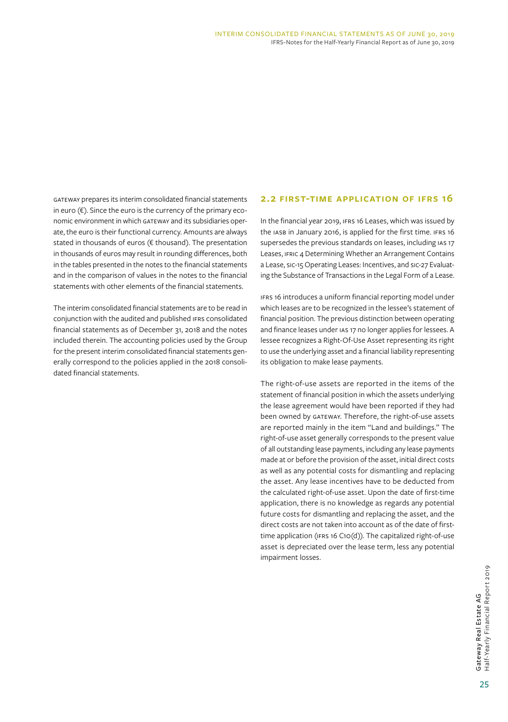GATEWAY prepares its interim consolidated financial statements in euro ( $\varepsilon$ ). Since the euro is the currency of the primary economic environment in which GATEWAY and its subsidiaries operate, the euro is their functional currency. Amounts are always stated in thousands of euros (€ thousand). The presentation in thousands of euros may result in rounding differences, both in the tables presented in the notes to the financial statements and in the comparison of values in the notes to the financial statements with other elements of the financial statements.

The interim consolidated financial statements are to be read in conjunction with the audited and published IFRS consolidated financial statements as of December 31, 2018 and the notes included therein. The accounting policies used by the Group for the present interim consolidated financial statements generally correspond to the policies applied in the 2018 consolidated financial statements.

#### **2.2 First-time application of IFRS 16**

In the financial year 2019, IFRS 16 Leases, which was issued by the IASB in January 2016, is applied for the first time. IFRS 16 supersedes the previous standards on leases, including IAS 17 Leases, IFRIC 4 Determining Whether an Arrangement Contains a Lease, SIC-15 Operating Leases: Incentives, and SIC-27 Evaluating the Substance of Transactions in the Legal Form of a Lease.

IFRS 16 introduces a uniform financial reporting model under which leases are to be recognized in the lessee's statement of financial position. The previous distinction between operating and finance leases under IAS 17 no longer applies for lessees. A lessee recognizes a Right-Of-Use Asset representing its right to use the underlying asset and a financial liability representing its obligation to make lease payments.

The right-of-use assets are reported in the items of the statement of financial position in which the assets underlying the lease agreement would have been reported if they had been owned by GATEWAY. Therefore, the right-of-use assets are reported mainly in the item "Land and buildings." The right-of-use asset generally corresponds to the present value of all outstanding lease payments, including any lease payments made at or before the provision of the asset, initial direct costs as well as any potential costs for dismantling and replacing the asset. Any lease incentives have to be deducted from the calculated right-of-use asset. Upon the date of first-time application, there is no knowledge as regards any potential future costs for dismantling and replacing the asset, and the direct costs are not taken into account as of the date of firsttime application (IFRS 16 C10(d)). The capitalized right-of-use asset is depreciated over the lease term, less any potential impairment losses.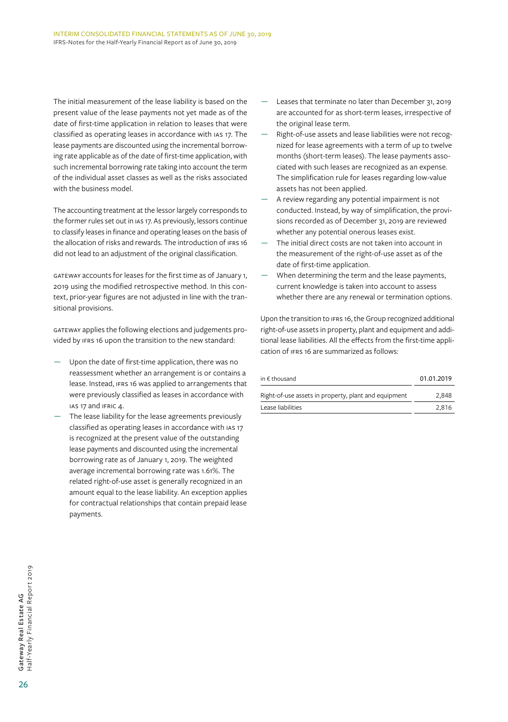The initial measurement of the lease liability is based on the present value of the lease payments not yet made as of the date of first-time application in relation to leases that were classified as operating leases in accordance with IAS 17. The lease payments are discounted using the incremental borrowing rate applicable as of the date of first-time application, with such incremental borrowing rate taking into account the term of the individual asset classes as well as the risks associated with the business model.

The accounting treatment at the lessor largely corresponds to the former rules set out in IAS 17. As previously, lessors continue to classify leases in finance and operating leases on the basis of the allocation of risks and rewards. The introduction of IFRS 16 did not lead to an adjustment of the original classification.

GATEWAY accounts for leases for the first time as of January  1, 2019 using the modified retrospective method. In this context, prior-year figures are not adjusted in line with the transitional provisions.

GATEWAY applies the following elections and judgements provided by IFRS 16 upon the transition to the new standard:

- Upon the date of first-time application, there was no reassessment whether an arrangement is or contains a lease. Instead, IFRS 16 was applied to arrangements that were previously classified as leases in accordance with IAS 17 and IFRIC 4.
- The lease liability for the lease agreements previously classified as operating leases in accordance with IAS  17 is recognized at the present value of the outstanding lease payments and discounted using the incremental borrowing rate as of January 1, 2019. The weighted average incremental borrowing rate was 1.61%. The related right-of-use asset is generally recognized in an amount equal to the lease liability. An exception applies for contractual relationships that contain prepaid lease payments.
- Leases that terminate no later than December 31, 2019 are accounted for as short-term leases, irrespective of the original lease term.
- Right-of-use assets and lease liabilities were not recognized for lease agreements with a term of up to twelve months (short-term leases). The lease payments associated with such leases are recognized as an expense. The simplification rule for leases regarding low-value assets has not been applied.
- A review regarding any potential impairment is not conducted. Instead, by way of simplification, the provisions recorded as of December 31, 2019 are reviewed whether any potential onerous leases exist.
- The initial direct costs are not taken into account in the measurement of the right-of-use asset as of the date of first-time application.
- When determining the term and the lease payments, current knowledge is taken into account to assess whether there are any renewal or termination options.

Upon the transition to IFRS 16, the Group recognized additional right-of-use assets in property, plant and equipment and additional lease liabilities. All the effects from the first-time application of IFRS 16 are summarized as follows:

| in $\epsilon$ thousand                               | 01.01.2019 |
|------------------------------------------------------|------------|
| Right-of-use assets in property, plant and equipment | 2,848      |
| Lease liabilities                                    | 2.816      |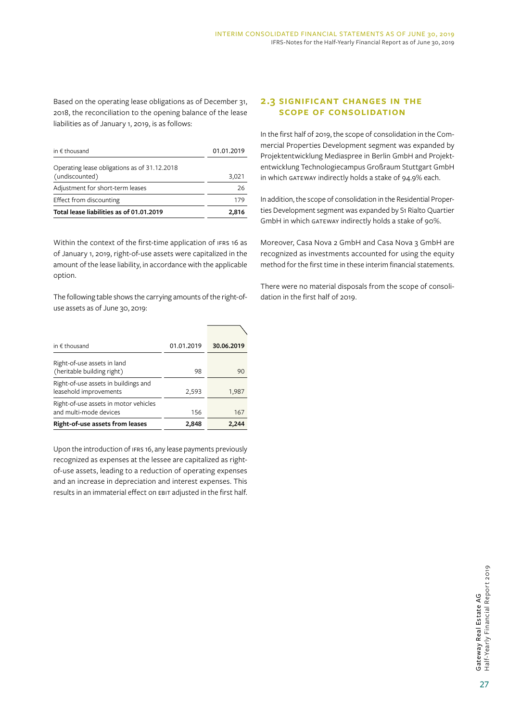Based on the operating lease obligations as of December  31, 2018, the reconciliation to the opening balance of the lease liabilities as of January 1, 2019, is as follows:

| in $f$ thousand                                                | 01.01.2019 |
|----------------------------------------------------------------|------------|
| Operating lease obligations as of 31.12.2018<br>(undiscounted) | 3.021      |
| Adjustment for short-term leases                               | 26         |
| Effect from discounting                                        | 179        |
| Total lease liabilities as of 01.01.2019                       | 2.816      |

Within the context of the first-time application of IFRS 16 as of January 1, 2019, right-of-use assets were capitalized in the amount of the lease liability, in accordance with the applicable option.

The following table shows the carrying amounts of the right-ofuse assets as of June 30, 2019:

| in $f$ thousand                                                 | 01.01.2019 | 30.06.2019 |
|-----------------------------------------------------------------|------------|------------|
| Right-of-use assets in land<br>(heritable building right)       | 98         | 90         |
| Right-of-use assets in buildings and<br>leasehold improvements  | 2,593      | 1,987      |
| Right-of-use assets in motor vehicles<br>and multi-mode devices | 156        | 167        |
| Right-of-use assets from leases                                 | 2,848      | 2,244      |

Upon the introduction of IFRS 16, any lease payments previously recognized as expenses at the lessee are capitalized as rightof-use assets, leading to a reduction of operating expenses and an increase in depreciation and interest expenses. This results in an immaterial effect on EBIT adjusted in the first half.

#### **2.3 Significant changes in the scope of consolidation**

In the first half of 2019, the scope of consolidation in the Commercial Properties Development segment was expanded by Projektentwicklung Mediaspree in Berlin GmbH and Projektentwicklung Technologiecampus Großraum Stuttgart GmbH in which GATEWAY indirectly holds a stake of 94.9% each.

In addition, the scope of consolidation in the Residential Properties Development segment was expanded by S1 Rialto Quartier GmbH in which GATEWAY indirectly holds a stake of 90%.

Moreover, Casa Nova 2 GmbH and Casa Nova 3 GmbH are recognized as investments accounted for using the equity method for the first time in these interim financial statements.

There were no material disposals from the scope of consolidation in the first half of 2019.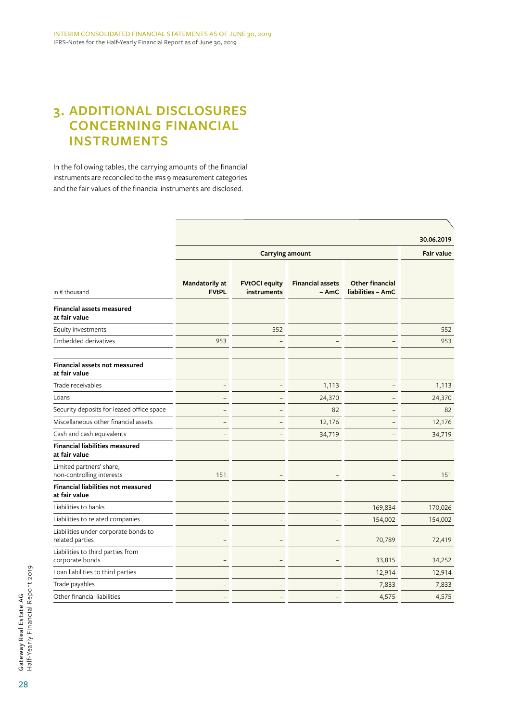## **3. ADDITIONAL DISCLOSURES CONCERNING FINANCIAL INSTRUMENTS**

In the following tables, the carrying amounts of the financial instruments are reconciled to the IFRS 9 measurement categories and the fair values of the financial instruments are disclosed.

|                                                            |                                |                                     |                                  |                                             | 30.06.2019        |
|------------------------------------------------------------|--------------------------------|-------------------------------------|----------------------------------|---------------------------------------------|-------------------|
|                                                            | Carrying amount                |                                     |                                  |                                             | <b>Fair value</b> |
| in $\epsilon$ thousand                                     | Mandatorily at<br><b>FVtPL</b> | <b>FVtOCI equity</b><br>instruments | <b>Financial assets</b><br>– AmC | <b>Other financial</b><br>liabilities - AmC |                   |
| <b>Financial assets measured</b><br>at fair value          |                                |                                     |                                  |                                             |                   |
| Equity investments                                         |                                | 552                                 |                                  |                                             | 552               |
| Embedded derivatives                                       | 953                            |                                     |                                  |                                             | 953               |
| <b>Financial assets not measured</b><br>at fair value      |                                |                                     |                                  |                                             |                   |
| Trade receivables                                          |                                |                                     | 1,113                            |                                             | 1,113             |
| Loans                                                      |                                |                                     | 24,370                           |                                             | 24,370            |
| Security deposits for leased office space                  |                                |                                     | 82                               |                                             | 82                |
| Miscellaneous other financial assets                       |                                |                                     | 12,176                           |                                             | 12,176            |
| Cash and cash equivalents                                  |                                |                                     | 34,719                           |                                             | 34,719            |
| <b>Financial liabilities measured</b><br>at fair value     |                                |                                     |                                  |                                             |                   |
| Limited partners' share,<br>non-controlling interests      | 151                            |                                     |                                  |                                             | 151               |
| <b>Financial liabilities not measured</b><br>at fair value |                                |                                     |                                  |                                             |                   |
| Liabilities to banks                                       |                                |                                     |                                  | 169,834                                     | 170,026           |
| Liabilities to related companies                           |                                |                                     |                                  | 154,002                                     | 154,002           |
| Liabilities under corporate bonds to<br>related parties    |                                |                                     |                                  | 70,789                                      | 72,419            |
| Liabilities to third parties from<br>corporate bonds       |                                |                                     |                                  | 33,815                                      | 34,252            |
| Loan liabilities to third parties                          |                                |                                     |                                  | 12,914                                      | 12,914            |
| Trade payables                                             |                                |                                     |                                  | 7,833                                       | 7,833             |
| Other financial liabilities                                |                                |                                     |                                  | 4,575                                       | 4,575             |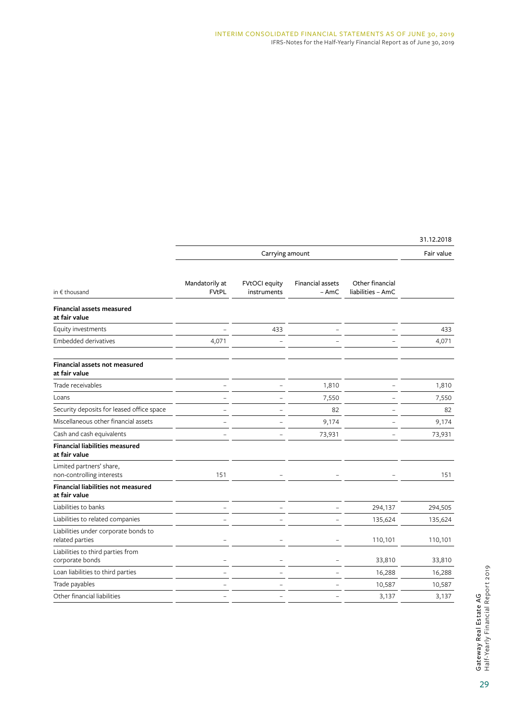Carrying amount **Fair value** 

| 31.12.2018 |  |  |  |
|------------|--|--|--|
|            |  |  |  |

| in $\epsilon$ thousand                                     | Mandatorily at<br><b>FVtPL</b> | <b>FVtOCI</b> equity<br>instruments | <b>Financial assets</b><br>- AmC | Other financial<br>liabilities - AmC |         |
|------------------------------------------------------------|--------------------------------|-------------------------------------|----------------------------------|--------------------------------------|---------|
| <b>Financial assets measured</b><br>at fair value          |                                |                                     |                                  |                                      |         |
| Equity investments                                         |                                | 433                                 |                                  |                                      | 433     |
| <b>Embedded derivatives</b>                                | 4,071                          |                                     |                                  |                                      | 4,071   |
| <b>Financial assets not measured</b><br>at fair value      |                                |                                     |                                  |                                      |         |
| Trade receivables                                          |                                |                                     | 1,810                            |                                      | 1,810   |
| Loans                                                      |                                |                                     | 7,550                            |                                      | 7,550   |
| Security deposits for leased office space                  |                                |                                     | 82                               |                                      | 82      |
| Miscellaneous other financial assets                       |                                |                                     | 9,174                            |                                      | 9,174   |
| Cash and cash equivalents                                  |                                |                                     | 73,931                           |                                      | 73,931  |
| <b>Financial liabilities measured</b><br>at fair value     |                                |                                     |                                  |                                      |         |
| Limited partners' share,<br>non-controlling interests      | 151                            |                                     |                                  |                                      | 151     |
| <b>Financial liabilities not measured</b><br>at fair value |                                |                                     |                                  |                                      |         |
| Liabilities to banks                                       |                                |                                     |                                  | 294,137                              | 294,505 |
| Liabilities to related companies                           |                                |                                     |                                  | 135,624                              | 135,624 |
| Liabilities under corporate bonds to<br>related parties    |                                |                                     |                                  | 110,101                              | 110,101 |
| Liabilities to third parties from<br>corporate bonds       |                                |                                     |                                  | 33,810                               | 33,810  |
| Loan liabilities to third parties                          |                                |                                     |                                  | 16,288                               | 16,288  |
| Trade payables                                             |                                |                                     |                                  | 10,587                               | 10,587  |
| Other financial liabilities                                |                                |                                     |                                  | 3,137                                | 3,137   |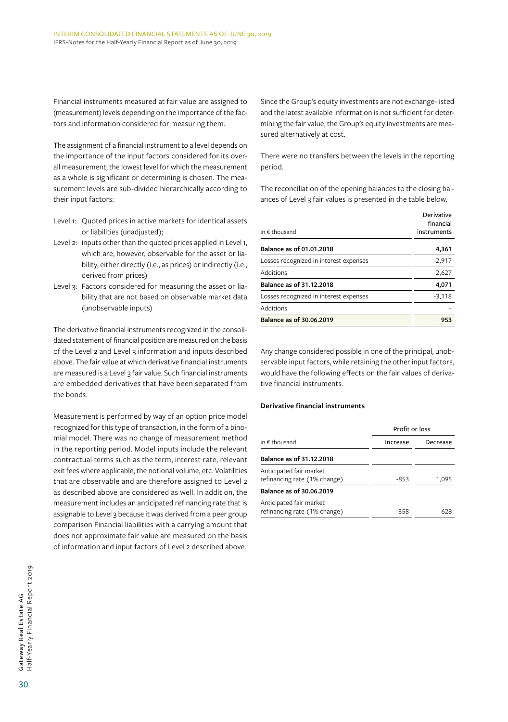Financial instruments measured at fair value are assigned to (measurement) levels depending on the importance of the factors and information considered for measuring them.

The assignment of a financial instrument to a level depends on the importance of the input factors considered for its overall measurement; the lowest level for which the measurement as a whole is significant or determining is chosen. The measurement levels are sub-divided hierarchically according to their input factors:

- Level 1: Quoted prices in active markets for identical assets or liabilities (unadjusted);
- Level 2: inputs other than the quoted prices applied in Level 1, which are, however, observable for the asset or liability, either directly (i.e., as prices) or indirectly (i.e., derived from prices)
- Level 3: Factors considered for measuring the asset or liability that are not based on observable market data (unobservable inputs)

The derivative financial instruments recognized in the consolidated statement of financial position are measured on the basis of the Level 2 and Level 3 information and inputs described above. The fair value at which derivative financial instruments are measured is a Level 3 fair value. Such financial instruments are embedded derivatives that have been separated from the bonds.

Measurement is performed by way of an option price model recognized for this type of transaction, in the form of a binomial model. There was no change of measurement method in the reporting period. Model inputs include the relevant contractual terms such as the term, interest rate, relevant exit fees where applicable, the notional volume, etc. Volatilities that are observable and are therefore assigned to Level  2 as described above are considered as well. In addition, the measurement includes an anticipated refinancing rate that is assignable to Level  3 because it was derived from a peer group comparison Financial liabilities with a carrying amount that does not approximate fair value are measured on the basis of information and input factors of Level  2 described above.

Since the Group's equity investments are not exchange-listed and the latest available information is not sufficient for determining the fair value, the Group's equity investments are measured alternatively at cost.

There were no transfers between the levels in the reporting period.

The reconciliation of the opening balances to the closing balances of Level 3 fair values is presented in the table below.

| in $f$ thousand                        | Derivative<br>financial<br>instruments |
|----------------------------------------|----------------------------------------|
| Balance as of 01.01.2018               | 4,361                                  |
| Losses recognized in interest expenses | $-2,917$                               |
| Additions                              | 2,627                                  |
| Balance as of 31.12.2018               | 4,071                                  |
| Losses recognized in interest expenses | $-3,118$                               |
| Additions                              |                                        |
| Balance as of 30.06.2019               | 953                                    |

Any change considered possible in one of the principal, unobservable input factors, while retaining the other input factors, would have the following effects on the fair values of derivative financial instruments.

#### **Derivative financial instruments**

|                                                         | Profit or loss |          |  |  |
|---------------------------------------------------------|----------------|----------|--|--|
| in $f$ thousand                                         | Increase       | Decrease |  |  |
| Balance as of 31.12.2018                                |                |          |  |  |
| Anticipated fair market<br>refinancing rate (1% change) | $-853$         | 1,095    |  |  |
| Balance as of 30.06.2019                                |                |          |  |  |
| Anticipated fair market<br>refinancing rate (1% change) | -358           | 628      |  |  |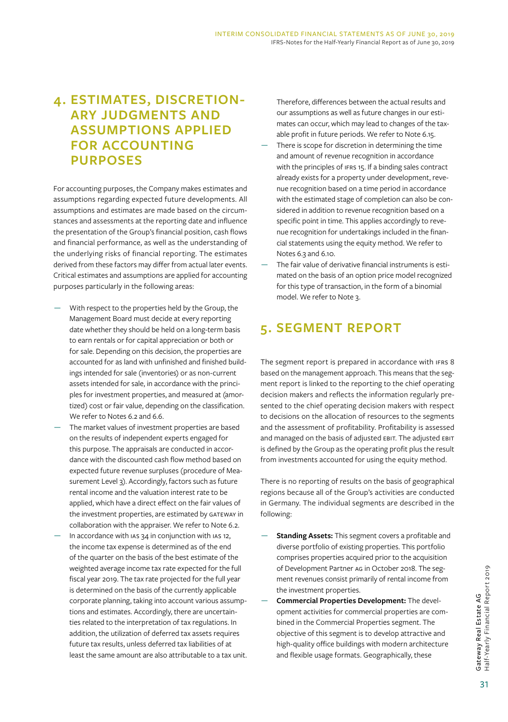## **4. ESTIMATES, DISCRETION-ARY JUDGMENTS AND ASSUMPTIONS APPLIED FOR ACCOUNTING PURPOSES**

For accounting purposes, the Company makes estimates and assumptions regarding expected future developments. All assumptions and estimates are made based on the circumstances and assessments at the reporting date and influence the presentation of the Group's financial position, cash flows and financial performance, as well as the understanding of the underlying risks of financial reporting. The estimates derived from these factors may differ from actual later events. Critical estimates and assumptions are applied for accounting purposes particularly in the following areas:

- With respect to the properties held by the Group, the Management Board must decide at every reporting date whether they should be held on a long-term basis to earn rentals or for capital appreciation or both or for sale. Depending on this decision, the properties are accounted for as land with unfinished and finished buildings intended for sale (inventories) or as non-current assets intended for sale, in accordance with the principles for investment properties, and measured at (amortized) cost or fair value, depending on the classification. We refer to Notes 6.2 and 6.6.
- The market values of investment properties are based on the results of independent experts engaged for this purpose. The appraisals are conducted in accordance with the discounted cash flow method based on expected future revenue surpluses (procedure of Measurement Level 3). Accordingly, factors such as future rental income and the valuation interest rate to be applied, which have a direct effect on the fair values of the investment properties, are estimated by GATEWAY in collaboration with the appraiser. We refer to Note 6.2.
- In accordance with IAS 34 in conjunction with IAS 12, the income tax expense is determined as of the end of the quarter on the basis of the best estimate of the weighted average income tax rate expected for the full fiscal year 2019. The tax rate projected for the full year is determined on the basis of the currently applicable corporate planning, taking into account various assumptions and estimates. Accordingly, there are uncertainties related to the interpretation of tax regulations. In addition, the utilization of deferred tax assets requires future tax results, unless deferred tax liabilities of at least the same amount are also attributable to a tax unit.

Therefore, differences between the actual results and our assumptions as well as future changes in our estimates can occur, which may lead to changes of the taxable profit in future periods. We refer to Note 6.15.

- There is scope for discretion in determining the time and amount of revenue recognition in accordance with the principles of IFRS 15. If a binding sales contract already exists for a property under development, revenue recognition based on a time period in accordance with the estimated stage of completion can also be considered in addition to revenue recognition based on a specific point in time. This applies accordingly to revenue recognition for undertakings included in the financial statements using the equity method. We refer to Notes 6.3 and 6.10.
- The fair value of derivative financial instruments is estimated on the basis of an option price model recognized for this type of transaction, in the form of a binomial model. We refer to Note 3.

## **5. SEGMENT REPORT**

The segment report is prepared in accordance with IFRS 8 based on the management approach. This means that the segment report is linked to the reporting to the chief operating decision makers and reflects the information regularly presented to the chief operating decision makers with respect to decisions on the allocation of resources to the segments and the assessment of profitability. Profitability is assessed and managed on the basis of adjusted EBIT. The adjusted EBIT is defined by the Group as the operating profit plus the result from investments accounted for using the equity method.

There is no reporting of results on the basis of geographical regions because all of the Group's activities are conducted in Germany. The individual segments are described in the following:

- Standing Assets: This segment covers a profitable and diverse portfolio of existing properties. This portfolio comprises properties acquired prior to the acquisition of Development Partner AG in October 2018. The segment revenues consist primarily of rental income from the investment properties.
- **Commercial Properties Development:** The development activities for commercial properties are combined in the Commercial Properties segment. The objective of this segment is to develop attractive and high-quality office buildings with modern architecture and flexible usage formats. Geographically, these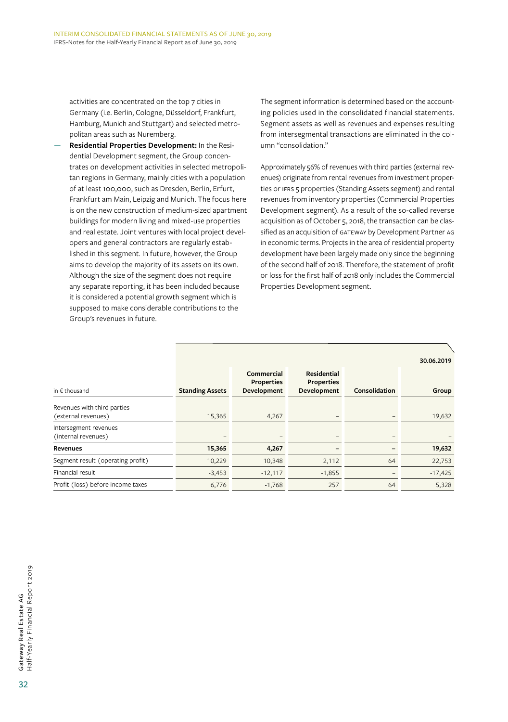activities are concentrated on the top 7 cities in Germany (i.e. Berlin, Cologne, Düsseldorf, Frankfurt, Hamburg, Munich and Stuttgart) and selected metropolitan areas such as Nuremberg.

— **Residential Properties Development:** In the Residential Development segment, the Group concentrates on development activities in selected metropolitan regions in Germany, mainly cities with a population of at least 100,000, such as Dresden, Berlin, Erfurt, Frankfurt am Main, Leipzig and Munich. The focus here is on the new construction of medium-sized apartment buildings for modern living and mixed-use properties and real estate. Joint ventures with local project developers and general contractors are regularly established in this segment. In future, however, the Group aims to develop the majority of its assets on its own. Although the size of the segment does not require any separate reporting, it has been included because it is considered a potential growth segment which is supposed to make considerable contributions to the Group's revenues in future.

The segment information is determined based on the accounting policies used in the consolidated financial statements. Segment assets as well as revenues and expenses resulting from intersegmental transactions are eliminated in the column "consolidation."

Approximately 56% of revenues with third parties (external revenues) originate from rental revenues from investment properties or IFRS 5 properties (Standing Assets segment) and rental revenues from inventory properties (Commercial Properties Development segment). As a result of the so-called reverse acquisition as of October 5, 2018, the transaction can be classified as an acquisition of GATEWAY by Development Partner AG in economic terms. Projects in the area of residential property development have been largely made only since the beginning of the second half of 2018. Therefore, the statement of profit or loss for the first half of 2018 only includes the Commercial Properties Development segment.

|                                                    |                        |                                                |                                                        |               | 30.06.2019 |
|----------------------------------------------------|------------------------|------------------------------------------------|--------------------------------------------------------|---------------|------------|
| in $\epsilon$ thousand                             | <b>Standing Assets</b> | Commercial<br><b>Properties</b><br>Development | <b>Residential</b><br><b>Properties</b><br>Development | Consolidation | Group      |
| Revenues with third parties<br>(external revenues) | 15,365                 | 4,267                                          |                                                        |               | 19,632     |
| Intersegment revenues<br>(internal revenues)       |                        | $\qquad \qquad$                                |                                                        | -             |            |
| <b>Revenues</b>                                    | 15,365                 | 4,267                                          |                                                        |               | 19,632     |
| Segment result (operating profit)                  | 10,229                 | 10,348                                         | 2,112                                                  | 64            | 22,753     |
| Financial result                                   | $-3,453$               | $-12,117$                                      | $-1,855$                                               |               | $-17,425$  |
| Profit (loss) before income taxes                  | 6,776                  | $-1,768$                                       | 257                                                    | 64            | 5,328      |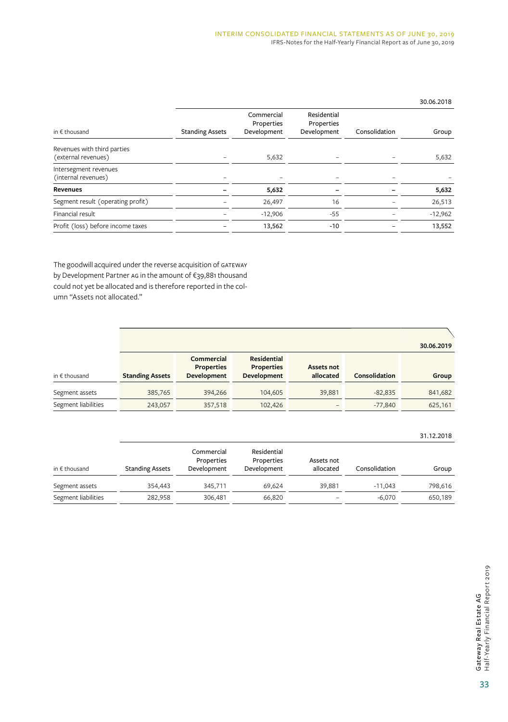| in $f$ thousand                                    | <b>Standing Assets</b> | Commercial<br>Properties<br>Development | Residential<br>Properties<br>Development | Consolidation | Group     |
|----------------------------------------------------|------------------------|-----------------------------------------|------------------------------------------|---------------|-----------|
| Revenues with third parties<br>(external revenues) |                        | 5,632                                   |                                          |               | 5,632     |
| Intersegment revenues<br>(internal revenues)       |                        |                                         |                                          |               |           |
| <b>Revenues</b>                                    |                        | 5,632                                   |                                          |               | 5,632     |
| Segment result (operating profit)                  |                        | 26,497                                  | 16                                       |               | 26,513    |
| Financial result                                   |                        | $-12,906$                               | $-55$                                    |               | $-12,962$ |
| Profit (loss) before income taxes                  |                        | 13,562                                  | $-10$                                    |               | 13,552    |
|                                                    |                        |                                         |                                          |               |           |

The goodwill acquired under the reverse acquisition of GATEWAY by Development Partner AG in the amount of €39,881 thousand could not yet be allocated and is therefore reported in the column "Assets not allocated."

|                        |                        |                                                |                                                 |                         |               | 30.06.2019 |
|------------------------|------------------------|------------------------------------------------|-------------------------------------------------|-------------------------|---------------|------------|
| in $\epsilon$ thousand | <b>Standing Assets</b> | Commercial<br><b>Properties</b><br>Development | Residential<br><b>Properties</b><br>Development | Assets not<br>allocated | Consolidation | Group      |
| Segment assets         | 385,765                | 394,266                                        | 104,605                                         | 39,881                  | $-82,835$     | 841,682    |
| Segment liabilities    | 243,057                | 357,518                                        | 102,426                                         |                         | $-77,840$     | 625,161    |

#### 31.12.2018

30.06.2018

| in $\epsilon$ thousand | <b>Standing Assets</b> | Commercial<br>Properties<br>Development | Residential<br>Properties<br>Development | Assets not<br>allocated | Consolidation | Group   |
|------------------------|------------------------|-----------------------------------------|------------------------------------------|-------------------------|---------------|---------|
| Segment assets         | 354,443                | 345,711                                 | 69.624                                   | 39,881                  | $-11,043$     | 798,616 |
| Segment liabilities    | 282,958                | 306,481                                 | 66,820                                   |                         | $-6.070$      | 650,189 |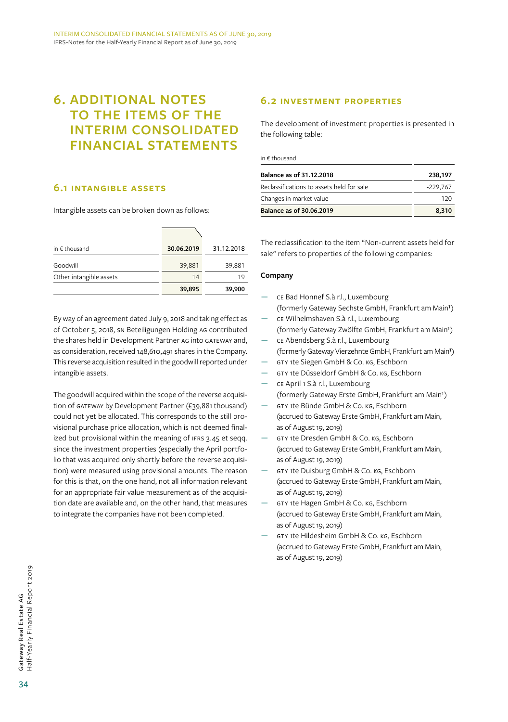## **6. ADDITIONAL NOTES TO THE ITEMS OF THE INTERIM CONSOLIDATED FINANCIAL STATEMENTS**

#### **6.1 Intangible assets**

Intangible assets can be broken down as follows:

| in $f$ thousand         | 30.06.2019 | 31.12.2018 |
|-------------------------|------------|------------|
| Goodwill                | 39,881     | 39,881     |
| Other intangible assets | 14         | 19         |
|                         | 39,895     | 39,900     |

By way of an agreement dated July 9, 2018 and taking effect as of October 5, 2018, SN Beteiligungen Holding AG contributed the shares held in Development Partner AG into GATEWAY and, as consideration, received 148,610,491 shares in the Company. This reverse acquisition resulted in the goodwill reported under intangible assets.

The goodwill acquired within the scope of the reverse acquisition of GATEWAY by Development Partner (€39,881 thousand) could not yet be allocated. This corresponds to the still provisional purchase price allocation, which is not deemed finalized but provisional within the meaning of IFRS 3.45 et seqq. since the investment properties (especially the April portfolio that was acquired only shortly before the reverse acquisition) were measured using provisional amounts. The reason for this is that, on the one hand, not all information relevant for an appropriate fair value measurement as of the acquisition date are available and, on the other hand, that measures to integrate the companies have not been completed.

#### **6.2 Investment properties**

The development of investment properties is presented in the following table:

in € thousand

| Balance as of 31.12.2018                  | 238,197    |
|-------------------------------------------|------------|
| Reclassifications to assets held for sale | $-229.767$ |
| Changes in market value                   | $-120$     |
| Balance as of 30.06.2019                  | 8,310      |

The reclassification to the item "Non-current assets held for sale" refers to properties of the following companies:

#### **Company**

- CE Bad Honnef S.à r.l., Luxembourg (formerly Gateway Sechste GmbH, Frankfurt am Main1)
- CE Wilhelmshaven S.à r.l., Luxembourg (formerly Gateway Zwölfte GmbH, Frankfurt am Main1)
- CE Abendsberg S.à r.l., Luxembourg (formerly Gateway Vierzehnte GmbH, Frankfurt am Main1)
- GTY 1te Siegen GmbH & Co. KG, Eschborn
- GTY 1te Düsseldorf GmbH & Co. KG, Eschborn
- CE April 1 S.à r.l., Luxembourg (formerly Gateway Erste GmbH, Frankfurt am Main1) GTY 1te Bünde GmbH & Co. KG, Eschborn
- (accrued to Gateway Erste GmbH, Frankfurt am Main, as of August 19, 2019)
- GTY 1te Dresden GmbH & Co. KG, Eschborn (accrued to Gateway Erste GmbH, Frankfurt am Main, as of August 19, 2019)
- GTY 1te Duisburg GmbH & Co. KG, Eschborn (accrued to Gateway Erste GmbH, Frankfurt am Main, as of August 19, 2019)
- GTY 1te Hagen GmbH & Co. KG, Eschborn (accrued to Gateway Erste GmbH, Frankfurt am Main, as of August 19, 2019)
- GTY 1te Hildesheim GmbH & Co. KG, Eschborn (accrued to Gateway Erste GmbH, Frankfurt am Main, as of August 19, 2019)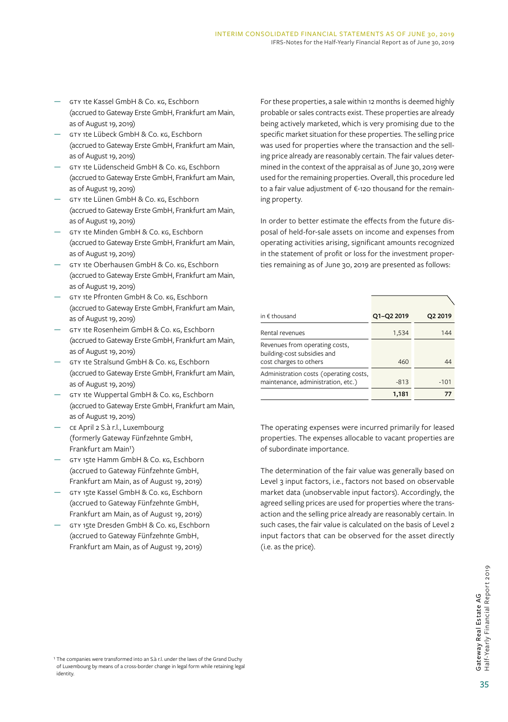- GTY 1te Kassel GmbH & Co. KG, Eschborn (accrued to Gateway Erste GmbH, Frankfurt am Main, as of August 19, 2019)
- GTY 1te Lübeck GmbH & Co. KG, Eschborn (accrued to Gateway Erste GmbH, Frankfurt am Main, as of August 19, 2019)
- GTY 1te Lüdenscheid GmbH & Co. KG, Eschborn (accrued to Gateway Erste GmbH, Frankfurt am Main, as of August 19, 2019)
- GTY 1te Lünen GmbH & Co. KG, Eschborn (accrued to Gateway Erste GmbH, Frankfurt am Main, as of August 19, 2019)
- GTY 1te Minden GmbH & Co. KG, Eschborn (accrued to Gateway Erste GmbH, Frankfurt am Main, as of August 19, 2019)
- GTY 1te Oberhausen GmbH & Co. KG, Eschborn (accrued to Gateway Erste GmbH, Frankfurt am Main, as of August 19, 2019)
- GTY 1te Pfronten GmbH & Co. KG, Eschborn (accrued to Gateway Erste GmbH, Frankfurt am Main, as of August 19, 2019)
- GTY 1te Rosenheim GmbH & Co. KG, Eschborn (accrued to Gateway Erste GmbH, Frankfurt am Main, as of August 19, 2019)
- GTY 1te Stralsund GmbH & Co. KG, Eschborn (accrued to Gateway Erste GmbH, Frankfurt am Main, as of August 19, 2019)
- GTY 1te Wuppertal GmbH & Co. KG, Eschborn (accrued to Gateway Erste GmbH, Frankfurt am Main, as of August 19, 2019)
- CE April 2 S.à r.l., Luxembourg (formerly Gateway Fünfzehnte GmbH, Frankfurt am Main<sup>1</sup>)
- GTY 15te Hamm GmbH & Co. KG, Eschborn (accrued to Gateway Fünfzehnte GmbH, Frankfurt am Main, as of August 19, 2019)
- GTY 15te Kassel GmbH & Co. KG, Eschborn (accrued to Gateway Fünfzehnte GmbH, Frankfurt am Main, as of August 19, 2019)
- GTY 15te Dresden GmbH & Co. KG, Eschborn (accrued to Gateway Fünfzehnte GmbH, Frankfurt am Main, as of August 19, 2019)

For these properties, a sale within 12 months is deemed highly probable or sales contracts exist. These properties are already being actively marketed, which is very promising due to the specific market situation for these properties. The selling price was used for properties where the transaction and the selling price already are reasonably certain. The fair values determined in the context of the appraisal as of June 30, 2019 were used for the remaining properties. Overall, this procedure led to a fair value adjustment of €-120 thousand for the remaining property.

In order to better estimate the effects from the future disposal of held-for-sale assets on income and expenses from operating activities arising, significant amounts recognized in the statement of profit or loss for the investment properties remaining as of June 30, 2019 are presented as follows:

| in $f$ thousand                                                                         | Q1-Q2 2019 | Q2 2019 |
|-----------------------------------------------------------------------------------------|------------|---------|
| Rental revenues                                                                         | 1,534      | 144     |
| Revenues from operating costs,<br>building-cost subsidies and<br>cost charges to others | 460        | ΔΔ      |
| Administration costs (operating costs,<br>maintenance, administration, etc.)            | $-813$     | $-101$  |
|                                                                                         | 1.181      |         |

The operating expenses were incurred primarily for leased properties. The expenses allocable to vacant properties are of subordinate importance.

The determination of the fair value was generally based on Level 3 input factors, i.e., factors not based on observable market data (unobservable input factors). Accordingly, the agreed selling prices are used for properties where the transaction and the selling price already are reasonably certain. In such cases, the fair value is calculated on the basis of Level 2 input factors that can be observed for the asset directly (i.e. as the price).

<sup>1</sup> The companies were transformed into an S.à r.l. under the laws of the Grand Duchy of Luxembourg by means of a cross-border change in legal form while retaining legal identity.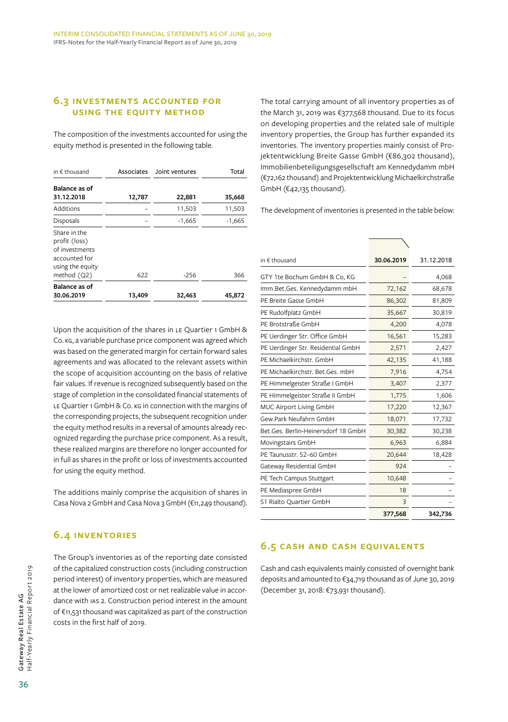#### **6.3 Investments accounted for using the equity method**

The composition of the investments accounted for using the equity method is presented in the following table.

| in $f$ thousand                                                                                     | Associates | Joint ventures | Total    |
|-----------------------------------------------------------------------------------------------------|------------|----------------|----------|
| <b>Balance as of</b><br>31.12.2018                                                                  | 12,787     | 22,881         | 35,668   |
| Additions                                                                                           |            | 11,503         | 11,503   |
| Disposals                                                                                           |            | $-1,665$       | $-1,665$ |
| Share in the<br>profit (loss)<br>of investments<br>accounted for<br>using the equity<br>method (Q2) | 622        | $-256$         | 366      |
| <b>Balance as of</b><br>30.06.2019                                                                  | 13,409     | 32,463         | 45,872   |

Upon the acquisition of the shares in LE Quartier 1 GmbH & Co.  KG, a variable purchase price component was agreed which was based on the generated margin for certain forward sales agreements and was allocated to the relevant assets within the scope of acquisition accounting on the basis of relative fair values. If revenue is recognized subsequently based on the stage of completion in the consolidated financial statements of LE Quartier 1 GmbH & Co. KG in connection with the margins of the corresponding projects, the subsequent recognition under the equity method results in a reversal of amounts already recognized regarding the purchase price component. As a result, these realized margins are therefore no longer accounted for in full as shares in the profit or loss of investments accounted for using the equity method.

The additions mainly comprise the acquisition of shares in Casa Nova 2 GmbH and Casa Nova 3 GmbH (€11,249 thousand).

#### **6.4 Inventories**

The Group's inventories as of the reporting date consisted of the capitalized construction costs (including construction period interest) of inventory properties, which are measured at the lower of amortized cost or net realizable value in accordance with IAS 2. Construction period interest in the amount of €11,531  thousand was capitalized as part of the construction costs in the first half of 2019.

The total carrying amount of all inventory properties as of the March 31, 2019 was €377,568 thousand. Due to its focus on developing properties and the related sale of multiple inventory properties, the Group has further expanded its inventories. The inventory properties mainly consist of Projektentwicklung Breite Gasse GmbH (€86,302 thousand), Immobilienbeteiligungsgesellschaft am Kennedydamm mbH (€72,162 thousand) and Projektentwicklung Michaelkirchstraße GmbH (€42,135 thousand).

The development of inventories is presented in the table below:

| in € thousand                       | 30.06.2019 | 31.12.2018 |
|-------------------------------------|------------|------------|
| GTY 1te Bochum GmbH & Co, KG        |            | 4,068      |
| Imm.Bet.Ges. Kennedydamm mbH        | 72,162     | 68,678     |
| PE Breite Gasse GmbH                | 86,302     | 81,809     |
| PE Rudolfplatz GmbH                 | 35,667     | 30,819     |
| PE Brotstraße GmbH                  | 4,200      | 4,078      |
| PE Uerdinger Str. Office GmbH       | 16,561     | 15,283     |
| PE Uerdinger Str. Residential GmbH  | 2,571      | 2,427      |
| PE Michaelkirchstr. GmbH            | 42,135     | 41,188     |
| PE Michaelkirchstr. Bet.Ges. mbH    | 7,916      | 4,754      |
| PE Himmelgeister Straße I GmbH      | 3,407      | 2,377      |
| PE Himmelgeister Straße II GmbH     | 1,775      | 1,606      |
| MUC Airport Living GmbH             | 17,220     | 12,367     |
| Gew.Park Neufahrn GmbH              | 18,071     | 17,732     |
| Bet.Ges. Berlin-Heinersdorf 18 GmbH | 30,382     | 30,238     |
| Movingstairs GmbH                   | 6,963      | 6,884      |
| PE Taunusstr. 52-60 GmbH            | 20,644     | 18,428     |
| Gateway Residential GmbH            | 924        |            |
| PE Tech Campus Stuttgart            | 10,648     |            |
| PE Mediaspree GmbH                  | 18         |            |
| S1 Rialto Quartier GmbH             | 3          |            |
|                                     | 377,568    | 342,736    |

#### **6.5 Cash and cash equivalents**

Cash and cash equivalents mainly consisted of overnight bank deposits and amounted to €34,719 thousand as of June 30, 2019 (December 31, 2018: €73,931 thousand).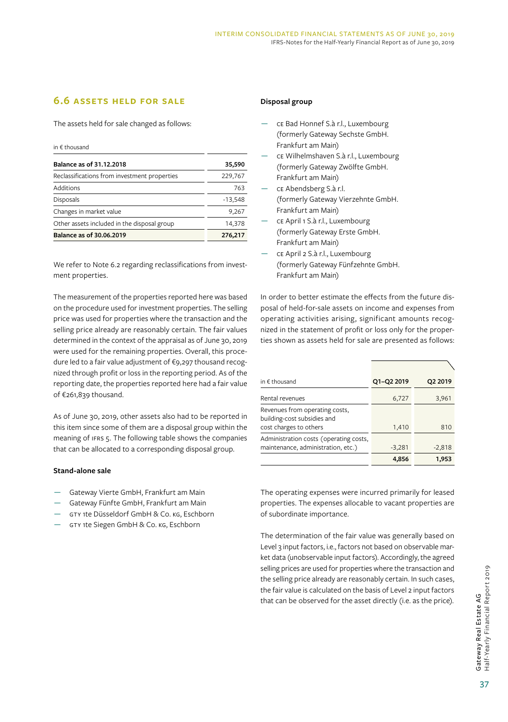#### **6.6 Assets held for sale**

The assets held for sale changed as follows:

in € thousand

| Balance as of 31.12.2018                     | 35,590    |
|----------------------------------------------|-----------|
| Reclassifications from investment properties | 229,767   |
| Additions                                    | 763       |
| <b>Disposals</b>                             | $-13,548$ |
| Changes in market value                      | 9,267     |
| Other assets included in the disposal group  | 14,378    |
| Balance as of 30.06.2019                     | 276,217   |

We refer to Note 6.2 regarding reclassifications from investment properties.

The measurement of the properties reported here was based on the procedure used for investment properties. The selling price was used for properties where the transaction and the selling price already are reasonably certain. The fair values determined in the context of the appraisal as of June 30, 2019 were used for the remaining properties. Overall, this procedure led to a fair value adjustment of €9,297 thousand recognized through profit or loss in the reporting period. As of the reporting date, the properties reported here had a fair value of €261,839 thousand.

As of June 30, 2019, other assets also had to be reported in this item since some of them are a disposal group within the meaning of IFRS 5. The following table shows the companies that can be allocated to a corresponding disposal group.

#### **Stand-alone sale**

- Gateway Vierte GmbH, Frankfurt am Main
- Gateway Fünfte GmbH, Frankfurt am Main
- GTY 1te Düsseldorf GmbH & Co. KG, Eschborn
- GTY 1te Siegen GmbH & Co. KG, Eschborn

#### **Disposal group**

- CE Bad Honnef S.à r.l., Luxembourg (formerly Gateway Sechste GmbH. Frankfurt am Main)
- CE Wilhelmshaven S.à r.l., Luxembourg (formerly Gateway Zwölfte GmbH. Frankfurt am Main)
- CE Abendsberg S.à r.l. (formerly Gateway Vierzehnte GmbH. Frankfurt am Main)
- CE April 1 S.à r.l., Luxembourg (formerly Gateway Erste GmbH. Frankfurt am Main)
- CE April 2 S.à r.l., Luxembourg (formerly Gateway Fünfzehnte GmbH. Frankfurt am Main)

In order to better estimate the effects from the future disposal of held-for-sale assets on income and expenses from operating activities arising, significant amounts recognized in the statement of profit or loss only for the properties shown as assets held for sale are presented as follows:

| in $f$ thousand                                                                         | Q1-Q2 2019 | Q2 2019  |
|-----------------------------------------------------------------------------------------|------------|----------|
| Rental revenues                                                                         | 6,727      | 3,961    |
| Revenues from operating costs,<br>building-cost subsidies and<br>cost charges to others | 1,410      | 810      |
| Administration costs (operating costs,<br>maintenance, administration, etc.)            | $-3,281$   | $-2,818$ |
|                                                                                         | 4.856      | 1.953    |

The operating expenses were incurred primarily for leased properties. The expenses allocable to vacant properties are of subordinate importance.

The determination of the fair value was generally based on Level 3 input factors, i.e., factors not based on observable market data (unobservable input factors). Accordingly, the agreed selling prices are used for properties where the transaction and the selling price already are reasonably certain. In such cases, the fair value is calculated on the basis of Level 2 input factors that can be observed for the asset directly (i.e. as the price).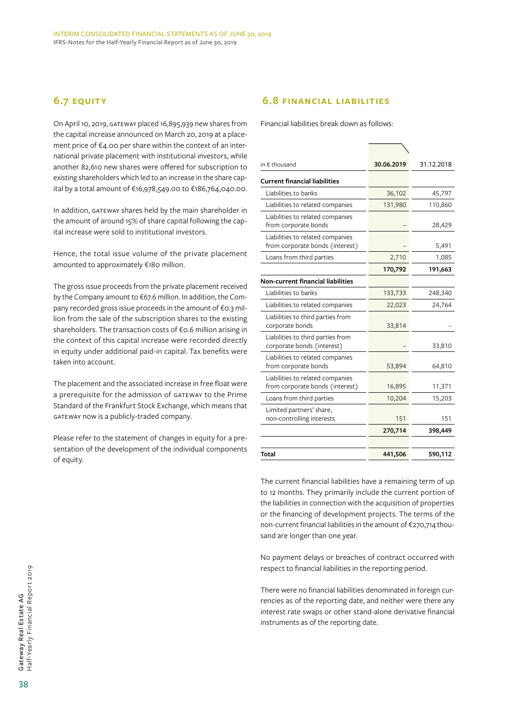### **6.7 Equity**

On April 10, 2019, GATEWAY placed 16,895,939 new shares from the capital increase announced on March 20, 2019 at a placement price of €4.00 per share within the context of an international private placement with institutional investors, while another 82,610 new shares were offered for subscription to existing shareholders which led to an increase in the share capital by a total amount of €16,978,549.00 to €186,764,040.00.

In addition, GATEWAY shares held by the main shareholder in the amount of around 15% of share capital following the capital increase were sold to institutional investors.

Hence, the total issue volume of the private placement amounted to approximately €180 million.

The gross issue proceeds from the private placement received by the Company amount to €67.6 million. In addition, the Company recorded gross issue proceeds in the amount of €0.3 million from the sale of the subscription shares to the existing shareholders. The transaction costs of €0.6 million arising in the context of this capital increase were recorded directly in equity under additional paid-in capital. Tax benefits were taken into account.

The placement and the associated increase in free float were a prerequisite for the admission of GATEWAY to the Prime Standard of the Frankfurt Stock Exchange, which means that GATEWAY now is a publicly-traded company.

Please refer to the statement of changes in equity for a presentation of the development of the individual components of equity.

#### **6.8 Financial liabilities**

Financial liabilities break down as follows:

| in $\epsilon$ thousand                                              | 30.06.2019 | 31.12.2018 |
|---------------------------------------------------------------------|------------|------------|
| <b>Current financial liabilities</b>                                |            |            |
| Liabilities to banks                                                | 36,102     | 45,797     |
| Liabilities to related companies                                    | 131,980    | 110,860    |
| Liabilities to related companies<br>from corporate bonds            |            | 28,429     |
| Liabilities to related companies<br>from corporate bonds (interest) |            | 5,491      |
| Loans from third parties                                            | 2,710      | 1,085      |
|                                                                     | 170,792    | 191,663    |
| <b>Non-current financial liabilities</b>                            |            |            |
| Liabilities to banks                                                | 133,733    | 248,340    |
| Liabilities to related companies                                    | 22,023     | 24,764     |
| Liabilities to third parties from<br>corporate bonds                | 33,814     |            |
| Liabilities to third parties from<br>corporate bonds (interest)     |            | 33,810     |
| Liabilities to related companies<br>from corporate bonds            | 53,894     | 64,810     |
| Liabilities to related companies<br>from corporate bonds (interest) | 16,895     | 11,371     |
| Loans from third parties                                            | 10,204     | 15,203     |
| Limited partners' share,<br>non-controlling interests               | 151        | 151        |
|                                                                     | 270,714    | 398,449    |
|                                                                     |            |            |
| Total                                                               | 441,506    | 590,112    |
|                                                                     |            |            |

The current financial liabilities have a remaining term of up to 12 months. They primarily include the current portion of the liabilities in connection with the acquisition of properties or the financing of development projects. The terms of the non-current financial liabilities in the amount of €270,714  thousand are longer than one year.

No payment delays or breaches of contract occurred with respect to financial liabilities in the reporting period.

There were no financial liabilities denominated in foreign currencies as of the reporting date, and neither were there any interest rate swaps or other stand-alone derivative financial instruments as of the reporting date.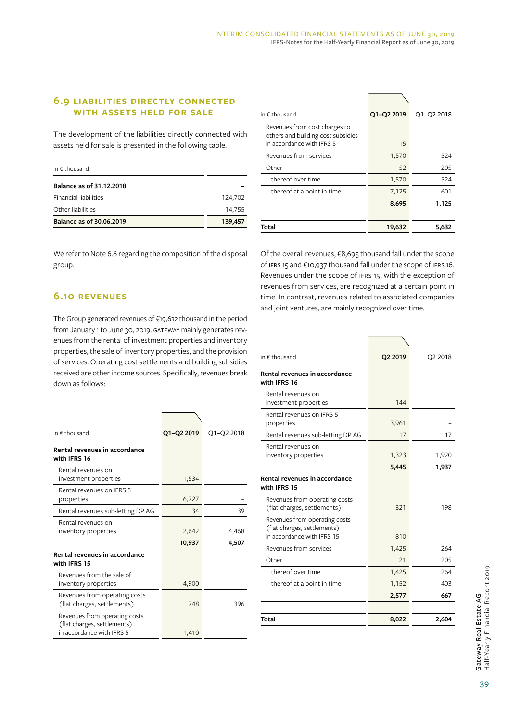#### **6.9 Liabilities directly connected with assets held for sale**

The development of the liabilities directly connected with assets held for sale is presented in the following table.

| in $f$ thousand              |         |
|------------------------------|---------|
| Balance as of 31.12.2018     |         |
| <b>Financial liabilities</b> | 124,702 |
| Other liabilities            | 14,755  |
| Balance as of 30.06.2019     | 139,457 |

We refer to Note 6.6 regarding the composition of the disposal group.

#### **6.10 Revenues**

The Group generated revenues of €19,632 thousand in the period from January 1 to June 30, 2019. GATEWAY mainly generates revenues from the rental of investment properties and inventory properties, the sale of inventory properties, and the provision of services. Operating cost settlements and building subsidies received are other income sources. Specifically, revenues break down as follows:

| Q1-Q2 2019<br>Q1-Q2 2018 |        |  |
|--------------------------|--------|--|
|                          |        |  |
| 1,534                    |        |  |
| 6,727                    |        |  |
| 34                       | 39     |  |
| 2,642                    | 4,468  |  |
|                          | 4,507  |  |
| 4,900                    |        |  |
| 748                      | 396    |  |
| 1,410                    |        |  |
|                          | 10,937 |  |

| Q1-Q2 2019 | Q1-Q2 2018 |
|------------|------------|
| 15         |            |
| 1,570      | 524        |
| 52         | 205        |
| 1,570      | 524        |
| 7,125      | 601        |
| 8,695      | 1,125      |
|            |            |
| 19,632     | 5,632      |
|            |            |

Of the overall revenues, €8,695 thousand fall under the scope of IFRS 15 and €10,937 thousand fall under the scope of IFRS  16. Revenues under the scope of IFRS 15, with the exception of revenues from services, are recognized at a certain point in time. In contrast, revenues related to associated companies and joint ventures, are mainly recognized over time.

| in $\epsilon$ thousand                                                                     | Q2 2019 | Q2 2018 |
|--------------------------------------------------------------------------------------------|---------|---------|
| <b>Rental revenues in accordance</b><br>with IFRS 16                                       |         |         |
| Rental revenues on<br>investment properties                                                | 144     |         |
| Rental revenues on IFRS 5<br>properties                                                    | 3,961   |         |
| Rental revenues sub-letting DP AG                                                          | 17      | 17      |
| Rental revenues on<br>inventory properties                                                 | 1,323   | 1,920   |
|                                                                                            | 5,445   | 1,937   |
| <b>Rental revenues in accordance</b><br>with IFRS 15                                       |         |         |
| Revenues from operating costs<br>(flat charges, settlements)                               | 321     | 198     |
| Revenues from operating costs<br>(flat charges, settlements)<br>in accordance with IFRS 15 | 810     |         |
| Revenues from services                                                                     | 1,425   | 264     |
| Other                                                                                      | 21      | 205     |
| thereof over time                                                                          | 1,425   | 264     |
| thereof at a point in time                                                                 | 1,152   | 403     |
|                                                                                            | 2,577   | 667     |
| Total                                                                                      | 8,022   | 2,604   |
|                                                                                            |         |         |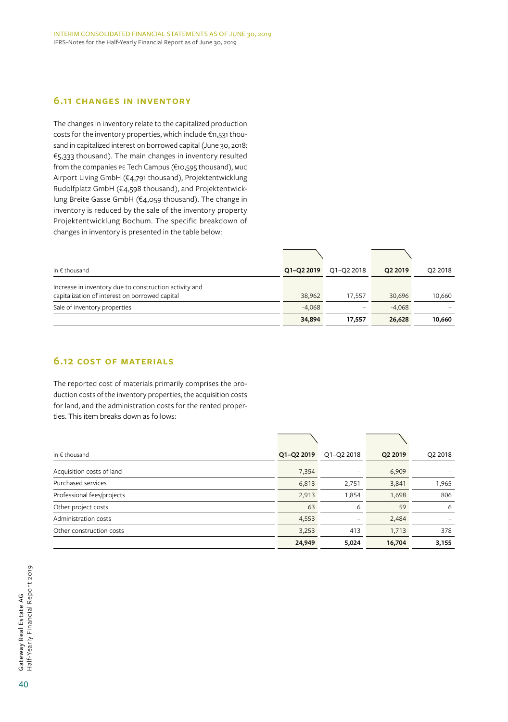#### **6.11 Changes in inventory**

The changes in inventory relate to the capitalized production costs for the inventory properties, which include €11,531 thousand in capitalized interest on borrowed capital (June 30, 2018: €5,333 thousand). The main changes in inventory resulted from the companies PE Tech Campus (€10,595 thousand), MUC Airport Living GmbH (€4,791 thousand), Projektentwicklung Rudolfplatz GmbH (€4,598 thousand), and Projektentwicklung Breite Gasse GmbH (€4,059 thousand). The change in inventory is reduced by the sale of the inventory property Projektentwicklung Bochum. The specific breakdown of changes in inventory is presented in the table below:

| in $\epsilon$ thousand                                                                                   | 01-02 2019 | O1-O2 2018 | O <sub>2</sub> 2019 | Q2 2018 |
|----------------------------------------------------------------------------------------------------------|------------|------------|---------------------|---------|
| Increase in inventory due to construction activity and<br>capitalization of interest on borrowed capital | 38,962     | 17,557     | 30,696              | 10,660  |
| Sale of inventory properties                                                                             | $-4.068$   |            | $-4.068$            |         |
|                                                                                                          | 34,894     | 17,557     | 26,628              | 10,660  |

#### **6.12 Cost of materials**

The reported cost of materials primarily comprises the production costs of the inventory properties, the acquisition costs for land, and the administration costs for the rented properties. This item breaks down as follows:

| in $f$ thousand            | Q1-Q2 2019 | Q1-Q2 2018 | Q2 2019 | Q2 2018 |
|----------------------------|------------|------------|---------|---------|
| Acquisition costs of land  | 7,354      |            | 6,909   |         |
| Purchased services         | 6,813      | 2,751      | 3,841   | 1,965   |
| Professional fees/projects | 2,913      | 1,854      | 1,698   | 806     |
| Other project costs        | 63         | 6          | 59      | 6       |
| Administration costs       | 4,553      |            | 2,484   |         |
| Other construction costs   | 3,253      | 413        | 1,713   | 378     |
|                            | 24,949     | 5,024      | 16,704  | 3,155   |

Gateway Real Estate AG<br>Half-Yearly Financial Report 2019 40Gateway Real Estate AG Half-Yearly Financial Report 2019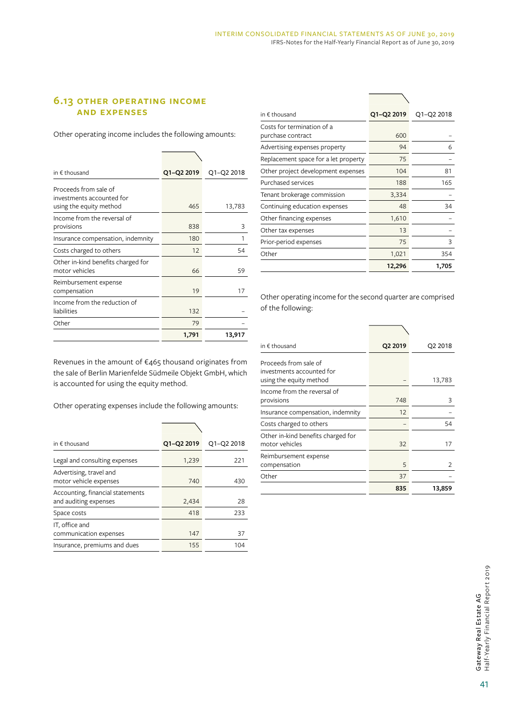#### **6.13 Other operating income and expenses**

Other operating income includes the following amounts:

| in $f$ thousand                                                               | Q1-Q2 2019 | Q1-Q2 2018 |
|-------------------------------------------------------------------------------|------------|------------|
| Proceeds from sale of<br>investments accounted for<br>using the equity method | 465        | 13,783     |
| Income from the reversal of<br>provisions                                     | 838        | 3          |
| Insurance compensation, indemnity                                             | 180        | 1          |
| Costs charged to others                                                       | 12         | 54         |
| Other in-kind benefits charged for<br>motor vehicles                          | 66         | 59         |
| Reimbursement expense<br>compensation                                         | 19         | 17         |
| Income from the reduction of<br>liabilities                                   | 132        |            |
| Other                                                                         | 79         |            |
|                                                                               | 1,791      | 13,917     |

| in $f$ thousand                                 | Q1-Q2 2019 | Q1-Q2 2018 |
|-------------------------------------------------|------------|------------|
| Costs for termination of a<br>purchase contract | 600        |            |
| Advertising expenses property                   | 94         | 6          |
| Replacement space for a let property            | 75         |            |
| Other project development expenses              | 104        | 81         |
| Purchased services                              | 188        | 165        |
| Tenant brokerage commission                     | 3,334      |            |
| Continuing education expenses                   | 48         | 34         |
| Other financing expenses                        | 1,610      |            |
| Other tax expenses                              | 13         |            |
| Prior-period expenses                           | 75         | 3          |
| Other                                           | 1,021      | 354        |
|                                                 | 12,296     | 1,705      |

Other operating income for the second quarter are comprised of the following:

| in $\epsilon$ thousand                                                        | Q2 2019 | Q2 2018 |
|-------------------------------------------------------------------------------|---------|---------|
| Proceeds from sale of<br>investments accounted for<br>using the equity method |         | 13,783  |
| Income from the reversal of<br>provisions                                     | 748     | 3       |
| Insurance compensation, indemnity                                             | 12      |         |
| Costs charged to others                                                       |         | 54      |
| Other in-kind benefits charged for<br>motor vehicles                          | 32      | 17      |
| Reimbursement expense<br>compensation                                         | 5       | フ       |
| Other                                                                         | 37      |         |
|                                                                               | 835     | 13,859  |

Revenues in the amount of €465 thousand originates from the sale of Berlin Marienfelde Südmeile Objekt GmbH, which is accounted for using the equity method.

Other operating expenses include the following amounts:

| in $\epsilon$ thousand                                    | Q1-Q2 2019 | Q1-Q2 2018 |
|-----------------------------------------------------------|------------|------------|
| Legal and consulting expenses                             | 1,239      | 221        |
| Advertising, travel and<br>motor vehicle expenses         | 740        | 430        |
| Accounting, financial statements<br>and auditing expenses | 2,434      | 28         |
| Space costs                                               | 418        | 233        |
| IT, office and<br>communication expenses                  | 147        | 37         |
| Insurance, premiums and dues                              | 155        | 104        |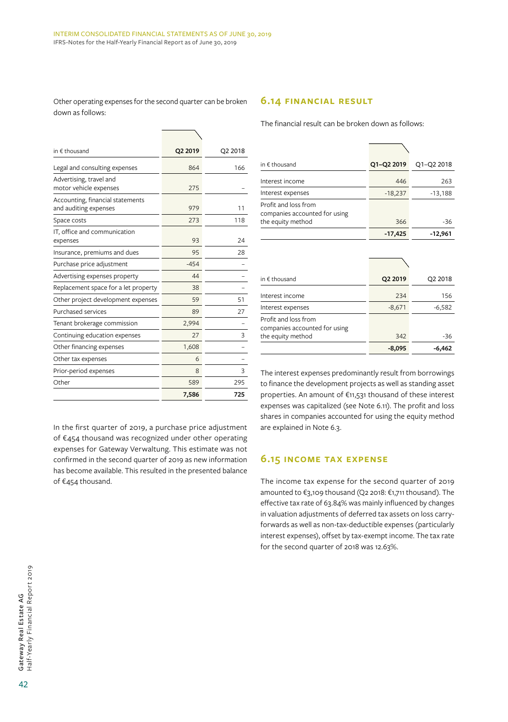Other operating expenses for the second quarter can be broken down as follows:

| Q2 2019 | Q2 2018 |
|---------|---------|
| 864     | 166     |
| 275     |         |
| 979     | 11      |
| 273     | 118     |
| 93      | 24      |
| 95      | 28      |
| $-454$  |         |
| 44      |         |
| 38      |         |
| 59      | 51      |
| 89      | 27      |
| 2,994   |         |
| 27      | 3       |
| 1,608   |         |
| 6       |         |
| 8       | 3       |
| 589     | 295     |
| 7,586   | 725     |
|         |         |

In the first quarter of 2019, a purchase price adjustment of €454 thousand was recognized under other operating expenses for Gateway Verwaltung. This estimate was not confirmed in the second quarter of 2019 as new information has become available. This resulted in the presented balance of €454 thousand.

#### **6.14 Financial result**

The financial result can be broken down as follows:

| in $\epsilon$ thousand                                | Q1-Q2 2019 | Q1-Q2 2018 |
|-------------------------------------------------------|------------|------------|
| Interest income                                       | 446        | 263        |
| Interest expenses                                     | $-18,237$  | $-13,188$  |
| Profit and loss from<br>companies accounted for using |            |            |
| the equity method                                     | 366        | $-36$      |
|                                                       | $-17,425$  | $-12,961$  |
|                                                       |            |            |
| in $f$ thousand                                       | Q2 2019    | Q2 2018    |
| Interest income                                       | 234        | 156        |
| Interest expenses                                     | $-8,671$   | $-6,582$   |
| Profit and loss from<br>companies accounted for using |            |            |
| the equity method                                     | 342        | $-36$      |
|                                                       | $-8,095$   | $-6,462$   |

The interest expenses predominantly result from borrowings to finance the development projects as well as standing asset properties. An amount of €11,531 thousand of these interest expenses was capitalized (see Note 6.11). The profit and loss shares in companies accounted for using the equity method are explained in Note 6.3.

#### **6.15 Income tax expense**

The income tax expense for the second quarter of 2019 amounted to €3,109 thousand (Q2 2018: €1,711 thousand). The effective tax rate of 63.84% was mainly influenced by changes in valuation adjustments of deferred tax assets on loss carryforwards as well as non-tax-deductible expenses (particularly interest expenses), offset by tax-exempt income. The tax rate for the second quarter of 2018 was 12.63%.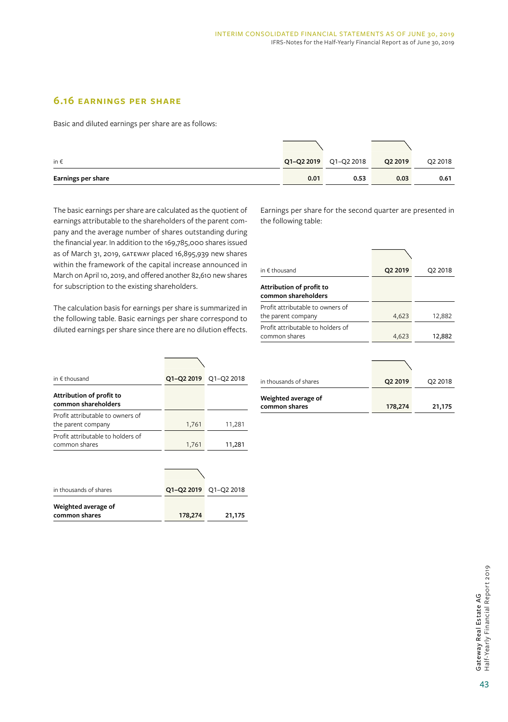#### **6.16 Earnings per share**

Basic and diluted earnings per share are as follows:

| in $\epsilon$      |      | Q1-Q2 2019 Q1-Q2 2018 | Q2 2019 | Q2 2018 |
|--------------------|------|-----------------------|---------|---------|
| Earnings per share | 0.01 | 0.53                  | 0.03    | 0.61    |

The basic earnings per share are calculated as the quotient of earnings attributable to the shareholders of the parent company and the average number of shares outstanding during the financial year. In addition to the 169,785,000 shares issued as of March 31, 2019, GATEWAY placed 16,895,939 new shares within the framework of the capital increase announced in March on April 10, 2019, and offered another 82,610 new shares for subscription to the existing shareholders.

The calculation basis for earnings per share is summarized in the following table. Basic earnings per share correspond to diluted earnings per share since there are no dilution effects.

| in $f$ thousand                                        | Q1-Q2 2019 | Q1-Q2 2018 |
|--------------------------------------------------------|------------|------------|
| Attribution of profit to<br>common shareholders        |            |            |
| Profit attributable to owners of<br>the parent company | 1,761      | 11,281     |
| Profit attributable to holders of<br>common shares     | 1,761      | 11,281     |
|                                                        |            |            |
| in thousands of shares                                 | Q1-Q2 2019 | Q1-Q2 2018 |
| Weighted average of<br>common shares                   | 178,274    | 21,175     |

Earnings per share for the second quarter are presented in the following table:

| in $f$ thousand                                        | Q2 2019 | Q <sub>2</sub> 2018 |
|--------------------------------------------------------|---------|---------------------|
| Attribution of profit to<br>common shareholders        |         |                     |
| Profit attributable to owners of<br>the parent company | 4,623   | 12,882              |
| Profit attributable to holders of<br>common shares     | 4,623   | 12,882              |

| in thousands of shares               | Q2 2019 | Q2 2018 |
|--------------------------------------|---------|---------|
| Weighted average of<br>common shares | 178,274 | 21,175  |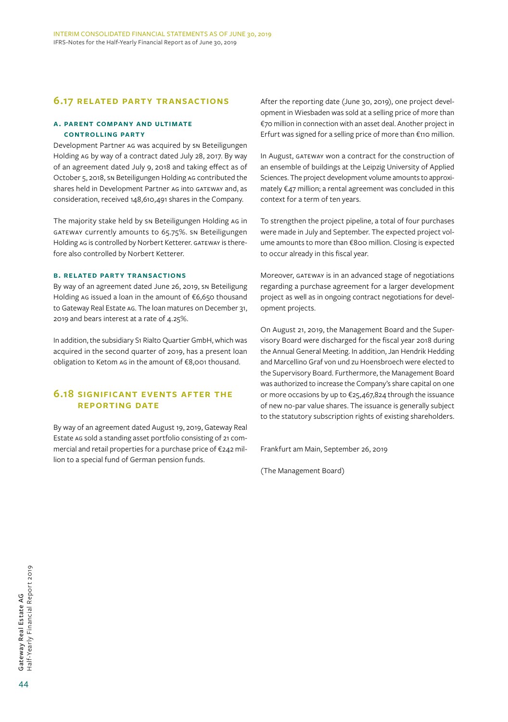#### **6.17 Related party transactions**

#### **A. Parent company and ultimate controlling party**

Development Partner AG was acquired by SN Beteiligungen Holding AG by way of a contract dated July 28, 2017. By way of an agreement dated July 9, 2018 and taking effect as of October 5, 2018, SN Beteiligungen Holding AG contributed the shares held in Development Partner AG into GATEWAY and, as consideration, received 148,610,491 shares in the Company.

The majority stake held by SN Beteiligungen Holding AG in GATEWAY currently amounts to 65.75%. SN Beteiligungen Holding AG is controlled by Norbert Ketterer. GATEWAY is therefore also controlled by Norbert Ketterer.

#### **B. Related party transactions**

By way of an agreement dated June 26, 2019, SN Beteiligung Holding AG issued a loan in the amount of €6,650 thousand to Gateway Real Estate AG. The loan matures on December  31, 2019 and bears interest at a rate of 4.25%.

In addition, the subsidiary S1 Rialto Quartier GmbH, which was acquired in the second quarter of 2019, has a present loan obligation to Ketom AG in the amount of €8,001 thousand.

#### **6.18 Significant events after the reporting date**

By way of an agreement dated August 19, 2019, Gateway Real Estate AG sold a standing asset portfolio consisting of 21 commercial and retail properties for a purchase price of €242 million to a special fund of German pension funds.

After the reporting date (June 30, 2019), one project development in Wiesbaden was sold at a selling price of more than €70  million in connection with an asset deal. Another project in Erfurt was signed for a selling price of more than €110 million.

In August, GATEWAY won a contract for the construction of an ensemble of buildings at the Leipzig University of Applied Sciences. The project development volume amounts to approximately €47 million; a rental agreement was concluded in this context for a term of ten years.

To strengthen the project pipeline, a total of four purchases were made in July and September. The expected project volume amounts to more than €800 million. Closing is expected to occur already in this fiscal year.

Moreover, GATEWAY is in an advanced stage of negotiations regarding a purchase agreement for a larger development project as well as in ongoing contract negotiations for development projects.

On August 21, 2019, the Management Board and the Supervisory Board were discharged for the fiscal year 2018 during the Annual General Meeting. In addition, Jan Hendrik Hedding and Marcellino Graf von und zu Hoensbroech were elected to the Supervisory Board. Furthermore, the Management Board was authorized to increase the Company's share capital on one or more occasions by up to €25,467,824 through the issuance of new no-par value shares. The issuance is generally subject to the statutory subscription rights of existing shareholders.

Frankfurt am Main, September 26, 2019

(The Management Board)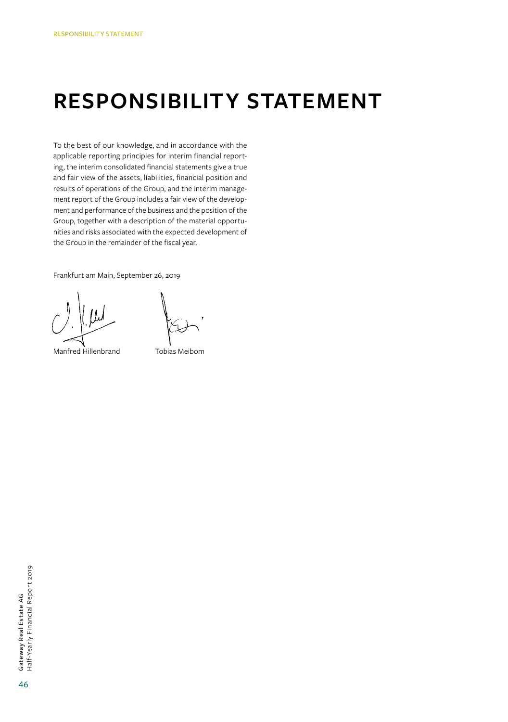# **RESPONSIBILITY STATEMENT**

To the best of our knowledge, and in accordance with the applicable reporting principles for interim financial reporting, the interim consolidated financial statements give a true and fair view of the assets, liabilities, financial position and results of operations of the Group, and the interim management report of the Group includes a fair view of the development and performance of the business and the position of the Group, together with a description of the material opportunities and risks associated with the expected development of the Group in the remainder of the fiscal year.

Frankfurt am Main, September 26, 2019

Manfred Hillenbrand Tobias Meibom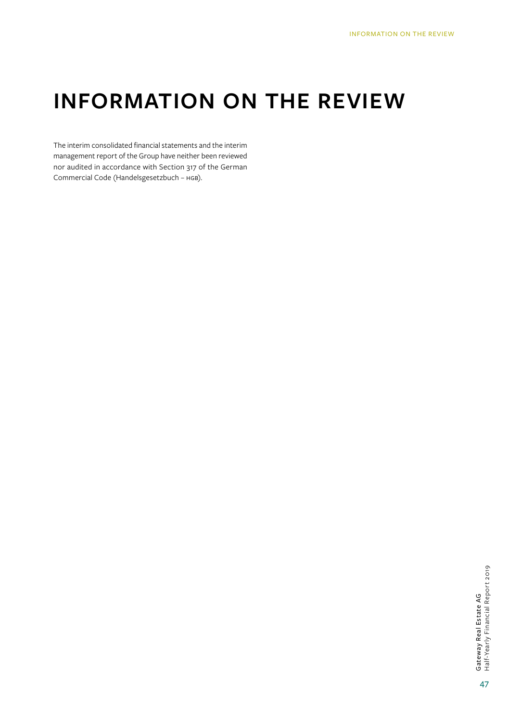# **INFORMATION ON THE REVIEW**

The interim consolidated financial statements and the interim management report of the Group have neither been reviewed nor audited in accordance with Section 317 of the German Commercial Code (Handelsgesetzbuch – HGB).